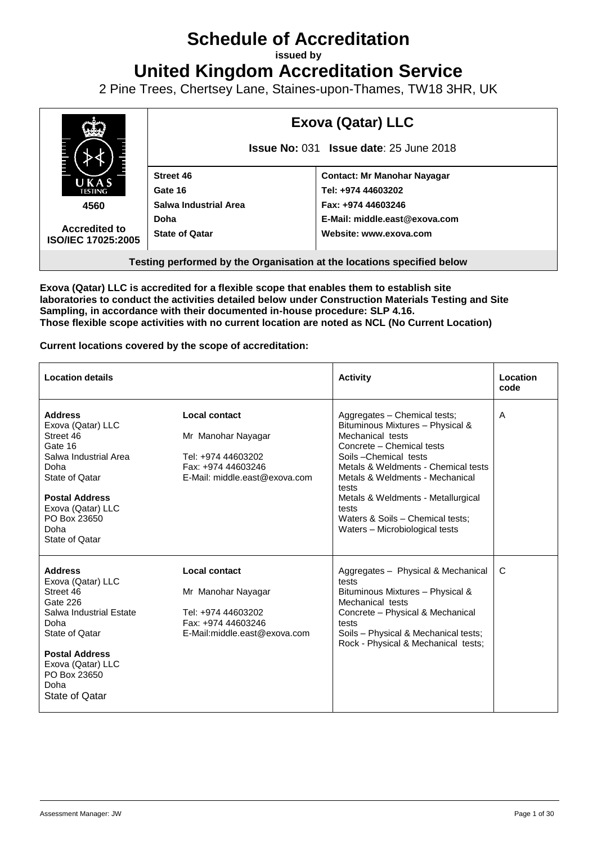# **Schedule of Accreditation**

**issued by**

**United Kingdom Accreditation Service**

2 Pine Trees, Chertsey Lane, Staines-upon-Thames, TW18 3HR, UK



**Exova (Qatar) LLC is accredited for a flexible scope that enables them to establish site laboratories to conduct the activities detailed below under Construction Materials Testing and Site Sampling, in accordance with their documented in-house procedure: SLP 4.16. Those flexible scope activities with no current location are noted as NCL (No Current Location)**

**Current locations covered by the scope of accreditation:**

| <b>Location details</b>                                                                                                                                                                                   |                                                                                                                         | <b>Activity</b>                                                                                                                                                                                                                                                                                                                                   | Location<br>code |
|-----------------------------------------------------------------------------------------------------------------------------------------------------------------------------------------------------------|-------------------------------------------------------------------------------------------------------------------------|---------------------------------------------------------------------------------------------------------------------------------------------------------------------------------------------------------------------------------------------------------------------------------------------------------------------------------------------------|------------------|
| <b>Address</b><br>Exova (Qatar) LLC<br>Street 46<br>Gate 16<br>Salwa Industrial Area<br>Doha<br>State of Qatar<br><b>Postal Address</b><br>Exova (Qatar) LLC<br>PO Box 23650<br>Doha<br>State of Qatar    | <b>Local contact</b><br>Mr Manohar Nayagar<br>Tel: +974 44603202<br>Fax: +974 44603246<br>E-Mail: middle.east@exova.com | Aggregates - Chemical tests;<br>Bituminous Mixtures - Physical &<br>Mechanical tests<br>Concrete - Chemical tests<br>Soils-Chemical tests<br>Metals & Weldments - Chemical tests<br>Metals & Weldments - Mechanical<br>tests<br>Metals & Weldments - Metallurgical<br>tests<br>Waters & Soils - Chemical tests:<br>Waters - Microbiological tests | A                |
| <b>Address</b><br>Exova (Qatar) LLC<br>Street 46<br>Gate 226<br>Salwa Industrial Estate<br>Doha<br>State of Qatar<br><b>Postal Address</b><br>Exova (Qatar) LLC<br>PO Box 23650<br>Doha<br>State of Qatar | Local contact<br>Mr Manohar Nayagar<br>Tel: +974 44603202<br>Fax: +974 44603246<br>E-Mail:middle.east@exova.com         | Aggregates - Physical & Mechanical<br>tests<br>Bituminous Mixtures - Physical &<br>Mechanical tests<br>Concrete - Physical & Mechanical<br>tests<br>Soils - Physical & Mechanical tests;<br>Rock - Physical & Mechanical tests;                                                                                                                   | C                |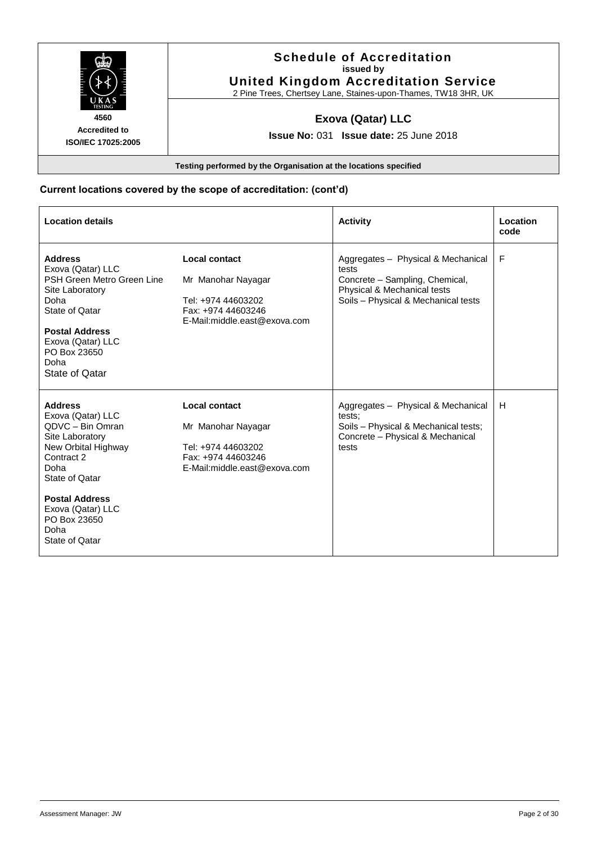

#### **Schedule of Accreditation issued by United Kingdom Accreditation Service**

2 Pine Trees, Chertsey Lane, Staines-upon-Thames, TW18 3HR, UK

## **Exova (Qatar) LLC**

**Issue No:** 031 **Issue date:** 25 June 2018

**Testing performed by the Organisation at the locations specified**

#### **Current locations covered by the scope of accreditation: (cont'd)**

| <b>Location details</b>                                                                                                                                                                                                           |                                                                                                                        | <b>Activity</b>                                                                                                                                     | Location<br>code |
|-----------------------------------------------------------------------------------------------------------------------------------------------------------------------------------------------------------------------------------|------------------------------------------------------------------------------------------------------------------------|-----------------------------------------------------------------------------------------------------------------------------------------------------|------------------|
| <b>Address</b><br>Exova (Qatar) LLC<br>PSH Green Metro Green Line<br>Site Laboratory<br>Doha<br>State of Qatar<br><b>Postal Address</b><br>Exova (Qatar) LLC<br>PO Box 23650<br>Doha<br>State of Qatar                            | Local contact<br>Mr Manohar Nayagar<br>Tel: +974 44603202<br>Fax: +974 44603246<br>E-Mail:middle.east@exova.com        | Aggregates - Physical & Mechanical<br>tests<br>Concrete - Sampling, Chemical,<br>Physical & Mechanical tests<br>Soils - Physical & Mechanical tests | F                |
| <b>Address</b><br>Exova (Qatar) LLC<br>QDVC - Bin Omran<br>Site Laboratory<br>New Orbital Highway<br>Contract 2<br>Doha<br>State of Qatar<br><b>Postal Address</b><br>Exova (Qatar) LLC<br>PO Box 23650<br>Doha<br>State of Qatar | <b>Local contact</b><br>Mr Manohar Nayagar<br>Tel: +974 44603202<br>Fax: +974 44603246<br>E-Mail:middle.east@exova.com | Aggregates - Physical & Mechanical<br>tests:<br>Soils - Physical & Mechanical tests;<br>Concrete - Physical & Mechanical<br>tests                   | H                |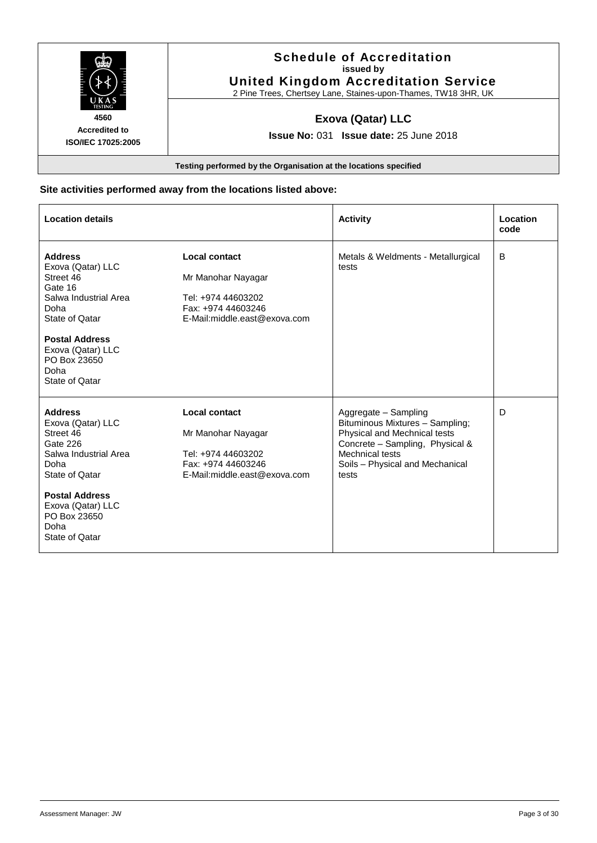

**ISO/IEC 17025:2005**

#### **Schedule of Accreditation issued by United Kingdom Accreditation Service**

2 Pine Trees, Chertsey Lane, Staines-upon-Thames, TW18 3HR, UK

## **Exova (Qatar) LLC**

**Issue No:** 031 **Issue date:** 25 June 2018

**Testing performed by the Organisation at the locations specified**

#### **Site activities performed away from the locations listed above:**

| <b>Location details</b>                                                                                                                                                                                 |                                                                                                                        | <b>Activity</b>                                                                                                                                                                           | Location<br>code |
|---------------------------------------------------------------------------------------------------------------------------------------------------------------------------------------------------------|------------------------------------------------------------------------------------------------------------------------|-------------------------------------------------------------------------------------------------------------------------------------------------------------------------------------------|------------------|
| <b>Address</b><br>Exova (Qatar) LLC<br>Street 46<br>Gate 16<br>Salwa Industrial Area<br>Doha<br>State of Qatar<br><b>Postal Address</b><br>Exova (Qatar) LLC<br>PO Box 23650<br>Doha<br>State of Qatar  | <b>Local contact</b><br>Mr Manohar Nayagar<br>Tel: +974 44603202<br>Fax: +974 44603246<br>E-Mail:middle.east@exova.com | Metals & Weldments - Metallurgical<br>tests                                                                                                                                               | B                |
| <b>Address</b><br>Exova (Qatar) LLC<br>Street 46<br>Gate 226<br>Salwa Industrial Area<br>Doha<br>State of Qatar<br><b>Postal Address</b><br>Exova (Qatar) LLC<br>PO Box 23650<br>Doha<br>State of Qatar | <b>Local contact</b><br>Mr Manohar Nayagar<br>Tel: +974 44603202<br>Fax: +974 44603246<br>E-Mail:middle.east@exova.com | Aggregate - Sampling<br>Bituminous Mixtures - Sampling;<br>Physical and Mechnical tests<br>Concrete - Sampling, Physical &<br>Mechnical tests<br>Soils - Physical and Mechanical<br>tests | D                |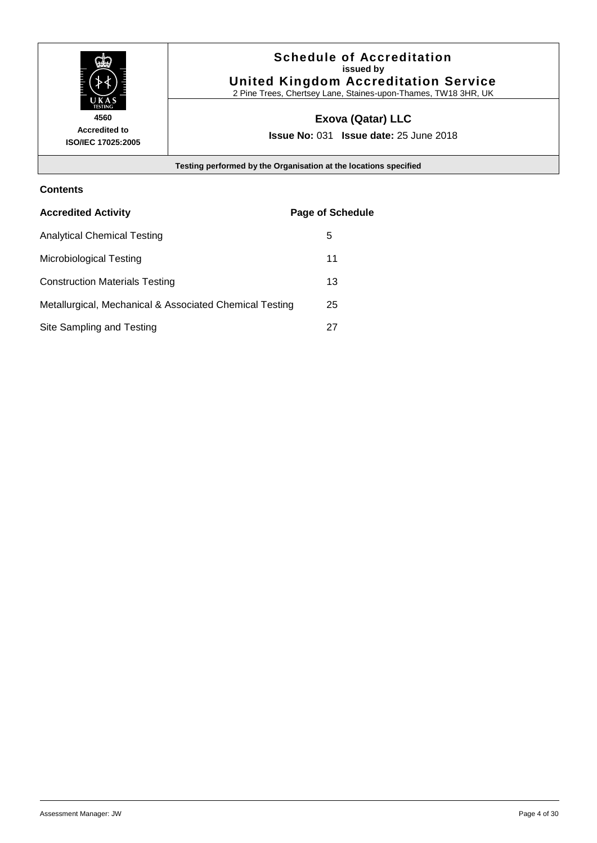

### **Schedule of Accreditation issued by United Kingdom Accreditation Service**

2 Pine Trees, Chertsey Lane, Staines-upon-Thames, TW18 3HR, UK

# **Exova (Qatar) LLC**

**Issue No:** 031 **Issue date:** 25 June 2018

**Testing performed by the Organisation at the locations specified**

#### **Contents**

| <b>Accredited Activity</b>                              | <b>Page of Schedule</b> |
|---------------------------------------------------------|-------------------------|
| <b>Analytical Chemical Testing</b>                      | 5                       |
| Microbiological Testing                                 | 11                      |
| <b>Construction Materials Testing</b>                   | 13                      |
| Metallurgical, Mechanical & Associated Chemical Testing | 25                      |
| Site Sampling and Testing                               | 27                      |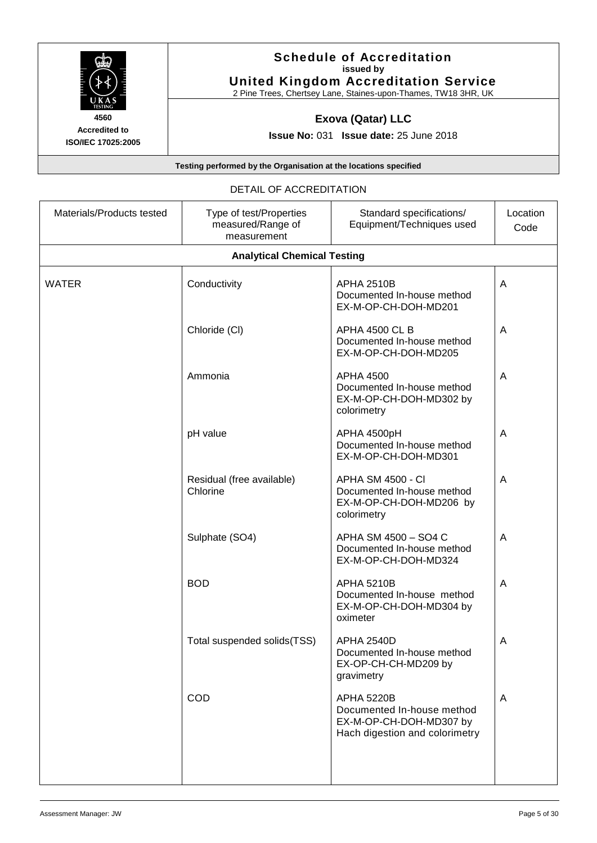

#### **Schedule of Accreditation issued by United Kingdom Accreditation Service**

2 Pine Trees, Chertsey Lane, Staines-upon-Thames, TW18 3HR, UK

# **Exova (Qatar) LLC**

**Issue No:** 031 **Issue date:** 25 June 2018

**Testing performed by the Organisation at the locations specified**

#### DETAIL OF ACCREDITATION

| Materials/Products tested | Type of test/Properties<br>measured/Range of<br>measurement | Standard specifications/<br>Equipment/Techniques used                                                        | Location<br>Code |
|---------------------------|-------------------------------------------------------------|--------------------------------------------------------------------------------------------------------------|------------------|
|                           | <b>Analytical Chemical Testing</b>                          |                                                                                                              |                  |
| WATER                     | Conductivity                                                | <b>APHA 2510B</b><br>Documented In-house method<br>EX-M-OP-CH-DOH-MD201                                      | A                |
|                           | Chloride (CI)                                               | <b>APHA 4500 CL B</b><br>Documented In-house method<br>EX-M-OP-CH-DOH-MD205                                  | A                |
|                           | Ammonia                                                     | <b>APHA 4500</b><br>Documented In-house method<br>EX-M-OP-CH-DOH-MD302 by<br>colorimetry                     | A                |
|                           | pH value                                                    | APHA 4500pH<br>Documented In-house method<br>EX-M-OP-CH-DOH-MD301                                            | A                |
|                           | Residual (free available)<br>Chlorine                       | <b>APHA SM 4500 - CI</b><br>Documented In-house method<br>EX-M-OP-CH-DOH-MD206 by<br>colorimetry             | A                |
|                           | Sulphate (SO4)                                              | APHA SM 4500 - SO4 C<br>Documented In-house method<br>EX-M-OP-CH-DOH-MD324                                   | A                |
|                           | <b>BOD</b>                                                  | <b>APHA 5210B</b><br>Documented In-house method<br>EX-M-OP-CH-DOH-MD304 by<br>oximeter                       | A                |
|                           | Total suspended solids(TSS)                                 | <b>APHA 2540D</b><br>Documented In-house method<br>EX-OP-CH-CH-MD209 by<br>gravimetry                        | Α                |
|                           | COD                                                         | <b>APHA 5220B</b><br>Documented In-house method<br>EX-M-OP-CH-DOH-MD307 by<br>Hach digestion and colorimetry | A                |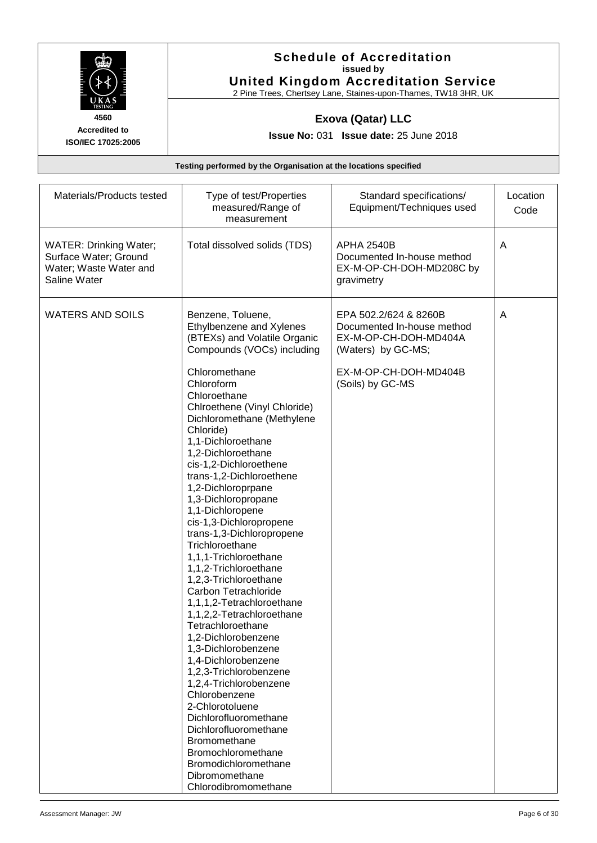

#### **Schedule of Accreditation issued by United Kingdom Accreditation Service**

2 Pine Trees, Chertsey Lane, Staines-upon-Thames, TW18 3HR, UK

### **Exova (Qatar) LLC**

**Issue No:** 031 **Issue date:** 25 June 2018

| Materials/Products tested                                                                        | Type of test/Properties<br>measured/Range of<br>measurement                                                                                                                                                                                                                                                                                                                                                                                                                                                                                                                                                                                                                                                                                                                                                                                                                                                                                                                                  | Standard specifications/<br>Equipment/Techniques used                                                                                           | Location<br>Code |
|--------------------------------------------------------------------------------------------------|----------------------------------------------------------------------------------------------------------------------------------------------------------------------------------------------------------------------------------------------------------------------------------------------------------------------------------------------------------------------------------------------------------------------------------------------------------------------------------------------------------------------------------------------------------------------------------------------------------------------------------------------------------------------------------------------------------------------------------------------------------------------------------------------------------------------------------------------------------------------------------------------------------------------------------------------------------------------------------------------|-------------------------------------------------------------------------------------------------------------------------------------------------|------------------|
| <b>WATER: Drinking Water;</b><br>Surface Water; Ground<br>Water; Waste Water and<br>Saline Water | Total dissolved solids (TDS)                                                                                                                                                                                                                                                                                                                                                                                                                                                                                                                                                                                                                                                                                                                                                                                                                                                                                                                                                                 | <b>APHA 2540B</b><br>Documented In-house method<br>EX-M-OP-CH-DOH-MD208C by<br>gravimetry                                                       | Α                |
| <b>WATERS AND SOILS</b>                                                                          | Benzene, Toluene,<br>Ethylbenzene and Xylenes<br>(BTEXs) and Volatile Organic<br>Compounds (VOCs) including<br>Chloromethane<br>Chloroform<br>Chloroethane<br>Chlroethene (Vinyl Chloride)<br>Dichloromethane (Methylene<br>Chloride)<br>1,1-Dichloroethane<br>1,2-Dichloroethane<br>cis-1,2-Dichloroethene<br>trans-1,2-Dichloroethene<br>1,2-Dichloroprpane<br>1,3-Dichloropropane<br>1,1-Dichloropene<br>cis-1,3-Dichloropropene<br>trans-1,3-Dichloropropene<br>Trichloroethane<br>1,1,1-Trichloroethane<br>1,1,2-Trichloroethane<br>1,2,3-Trichloroethane<br>Carbon Tetrachloride<br>1,1,1,2-Tetrachloroethane<br>1,1,2,2-Tetrachloroethane<br>Tetrachloroethane<br>1,2-Dichlorobenzene<br>1,3-Dichlorobenzene<br>1,4-Dichlorobenzene<br>1,2,3-Trichlorobenzene<br>1,2,4-Trichlorobenzene<br>Chlorobenzene<br>2-Chlorotoluene<br>Dichlorofluoromethane<br>Dichlorofluoromethane<br>Bromomethane<br>Bromochloromethane<br>Bromodichloromethane<br>Dibromomethane<br>Chlorodibromomethane | EPA 502.2/624 & 8260B<br>Documented In-house method<br>EX-M-OP-CH-DOH-MD404A<br>(Waters) by GC-MS;<br>EX-M-OP-CH-DOH-MD404B<br>(Soils) by GC-MS | A                |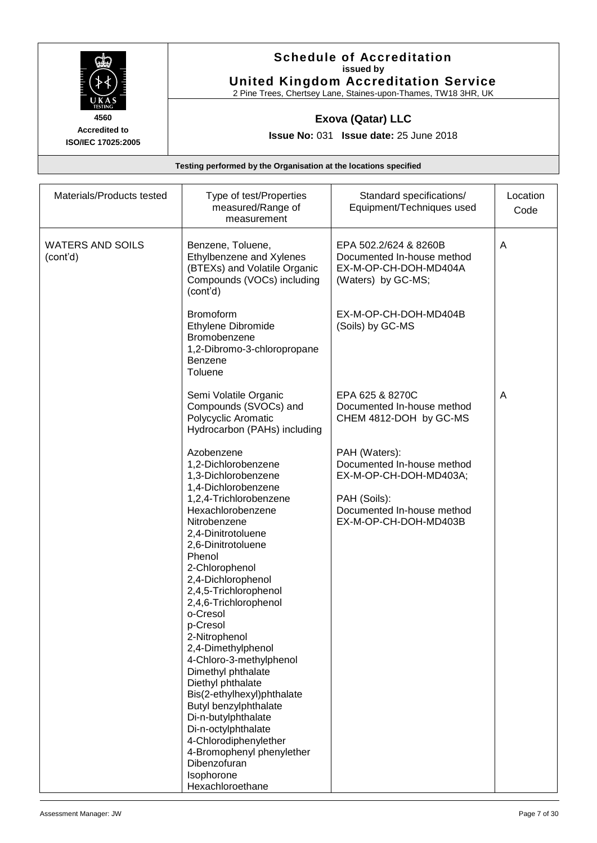

### **Schedule of Accreditation issued by United Kingdom Accreditation Service**

2 Pine Trees, Chertsey Lane, Staines-upon-Thames, TW18 3HR, UK

### **Exova (Qatar) LLC**

**Issue No:** 031 **Issue date:** 25 June 2018

| Type of test/Properties<br>measured/Range of<br>measurement                                                                                                                                                                                                                                                                                                                                                                                                                                                                                                                                                    | Standard specifications/<br>Equipment/Techniques used                                                                                        | Location<br>Code |
|----------------------------------------------------------------------------------------------------------------------------------------------------------------------------------------------------------------------------------------------------------------------------------------------------------------------------------------------------------------------------------------------------------------------------------------------------------------------------------------------------------------------------------------------------------------------------------------------------------------|----------------------------------------------------------------------------------------------------------------------------------------------|------------------|
| Benzene, Toluene,<br>Ethylbenzene and Xylenes<br>(BTEXs) and Volatile Organic<br>Compounds (VOCs) including<br>(cont'd)                                                                                                                                                                                                                                                                                                                                                                                                                                                                                        | EPA 502.2/624 & 8260B<br>Documented In-house method<br>EX-M-OP-CH-DOH-MD404A<br>(Waters) by GC-MS;                                           | A                |
| <b>Bromoform</b><br>Ethylene Dibromide<br>Bromobenzene<br>1,2-Dibromo-3-chloropropane<br><b>Benzene</b><br>Toluene                                                                                                                                                                                                                                                                                                                                                                                                                                                                                             | EX-M-OP-CH-DOH-MD404B<br>(Soils) by GC-MS                                                                                                    |                  |
| Semi Volatile Organic<br>Compounds (SVOCs) and<br>Polycyclic Aromatic<br>Hydrocarbon (PAHs) including                                                                                                                                                                                                                                                                                                                                                                                                                                                                                                          | EPA 625 & 8270C<br>Documented In-house method<br>CHEM 4812-DOH by GC-MS                                                                      | A                |
| Azobenzene<br>1,2-Dichlorobenzene<br>1,3-Dichlorobenzene<br>1,4-Dichlorobenzene<br>1,2,4-Trichlorobenzene<br>Hexachlorobenzene<br>Nitrobenzene<br>2,4-Dinitrotoluene<br>2,6-Dinitrotoluene<br>Phenol<br>2-Chlorophenol<br>2,4-Dichlorophenol<br>2,4,5-Trichlorophenol<br>2,4,6-Trichlorophenol<br>o-Cresol<br>p-Cresol<br>2-Nitrophenol<br>2,4-Dimethylphenol<br>4-Chloro-3-methylphenol<br>Dimethyl phthalate<br>Diethyl phthalate<br>Bis(2-ethylhexyl)phthalate<br>Butyl benzylphthalate<br>Di-n-butylphthalate<br>Di-n-octylphthalate<br>4-Chlorodiphenylether<br>4-Bromophenyl phenylether<br>Dibenzofuran | PAH (Waters):<br>Documented In-house method<br>EX-M-OP-CH-DOH-MD403A;<br>PAH (Soils):<br>Documented In-house method<br>EX-M-OP-CH-DOH-MD403B |                  |
|                                                                                                                                                                                                                                                                                                                                                                                                                                                                                                                                                                                                                | Isophorone<br>Hexachloroethane                                                                                                               |                  |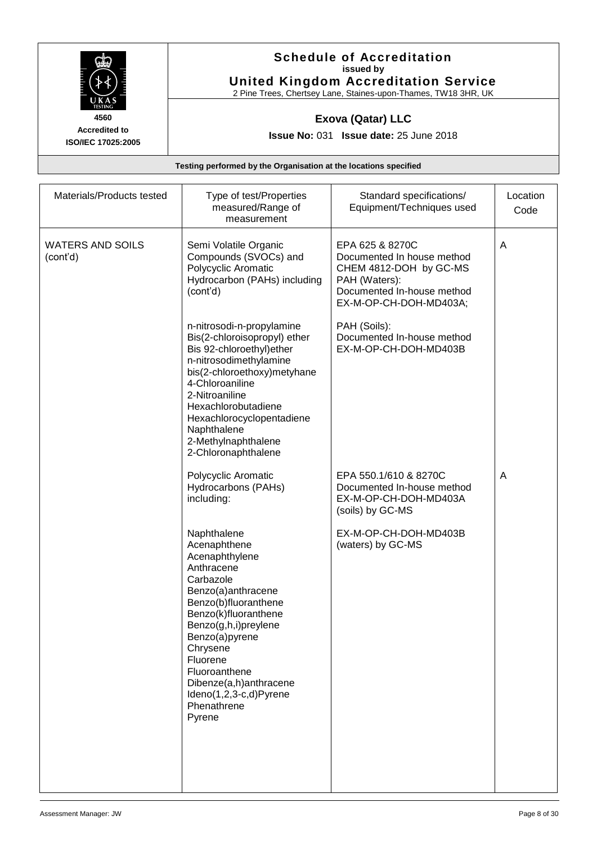

#### **Schedule of Accreditation issued by United Kingdom Accreditation Service**

2 Pine Trees, Chertsey Lane, Staines-upon-Thames, TW18 3HR, UK

### **Exova (Qatar) LLC**

**Issue No:** 031 **Issue date:** 25 June 2018

| Materials/Products tested           | Type of test/Properties<br>measured/Range of<br>measurement                                                                                                                                                                                                                                                    | Standard specifications/<br>Equipment/Techniques used                                                                                            | Location<br>Code |
|-------------------------------------|----------------------------------------------------------------------------------------------------------------------------------------------------------------------------------------------------------------------------------------------------------------------------------------------------------------|--------------------------------------------------------------------------------------------------------------------------------------------------|------------------|
| <b>WATERS AND SOILS</b><br>(cont'd) | Semi Volatile Organic<br>Compounds (SVOCs) and<br>Polycyclic Aromatic<br>Hydrocarbon (PAHs) including<br>(cont'd)                                                                                                                                                                                              | EPA 625 & 8270C<br>Documented In house method<br>CHEM 4812-DOH by GC-MS<br>PAH (Waters):<br>Documented In-house method<br>EX-M-OP-CH-DOH-MD403A; | A                |
|                                     | n-nitrosodi-n-propylamine<br>Bis(2-chloroisopropyl) ether<br>Bis 92-chloroethyl) ether<br>n-nitrosodimethylamine<br>bis(2-chloroethoxy)metyhane<br>4-Chloroaniline<br>2-Nitroaniline<br>Hexachlorobutadiene<br>Hexachlorocyclopentadiene<br>Naphthalene<br>2-Methylnaphthalene<br>2-Chloronaphthalene          | PAH (Soils):<br>Documented In-house method<br>EX-M-OP-CH-DOH-MD403B                                                                              |                  |
|                                     | Polycyclic Aromatic<br>Hydrocarbons (PAHs)<br>including:                                                                                                                                                                                                                                                       | EPA 550.1/610 & 8270C<br>Documented In-house method<br>EX-M-OP-CH-DOH-MD403A<br>(soils) by GC-MS                                                 | A                |
|                                     | Naphthalene<br>Acenaphthene<br>Acenaphthylene<br>Anthracene<br>Carbazole<br>Benzo(a)anthracene<br>Benzo(b)fluoranthene<br>Benzo(k)fluoranthene<br>Benzo(g,h,i)preylene<br>Benzo(a)pyrene<br>Chrysene<br>Fluorene<br>Fluoroanthene<br>Dibenze(a,h)anthracene<br>Ideno(1,2,3-c,d)Pyrene<br>Phenathrene<br>Pyrene | EX-M-OP-CH-DOH-MD403B<br>(waters) by GC-MS                                                                                                       |                  |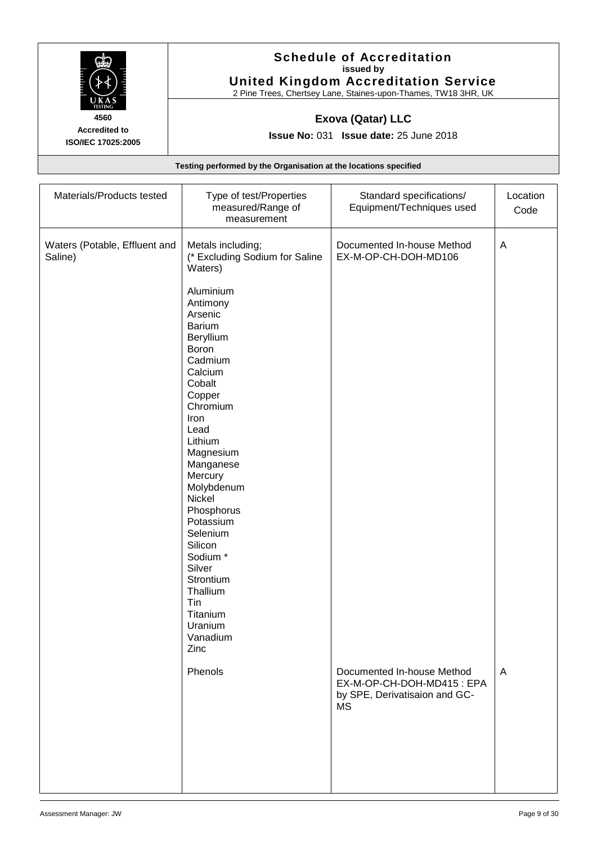

#### **Schedule of Accreditation issued by United Kingdom Accreditation Service**

2 Pine Trees, Chertsey Lane, Staines-upon-Thames, TW18 3HR, UK

### **Exova (Qatar) LLC**

**Issue No:** 031 **Issue date:** 25 June 2018

| Materials/Products tested                | Type of test/Properties<br>measured/Range of<br>measurement                                                                                                                                                                                                                                                                                                                                                                                | Standard specifications/<br>Equipment/Techniques used                                                 | Location<br>Code |
|------------------------------------------|--------------------------------------------------------------------------------------------------------------------------------------------------------------------------------------------------------------------------------------------------------------------------------------------------------------------------------------------------------------------------------------------------------------------------------------------|-------------------------------------------------------------------------------------------------------|------------------|
| Waters (Potable, Effluent and<br>Saline) | Metals including;<br>(* Excluding Sodium for Saline<br>Waters)<br>Aluminium<br>Antimony<br>Arsenic<br><b>Barium</b><br>Beryllium<br>Boron<br>Cadmium<br>Calcium<br>Cobalt<br>Copper<br>Chromium<br>Iron<br>Lead<br>Lithium<br>Magnesium<br>Manganese<br>Mercury<br>Molybdenum<br>Nickel<br>Phosphorus<br>Potassium<br>Selenium<br>Silicon<br>Sodium *<br>Silver<br>Strontium<br>Thallium<br>Tin<br>Titanium<br>Uranium<br>Vanadium<br>Zinc | Documented In-house Method<br>EX-M-OP-CH-DOH-MD106                                                    | A                |
|                                          | Phenols                                                                                                                                                                                                                                                                                                                                                                                                                                    | Documented In-house Method<br>EX-M-OP-CH-DOH-MD415: EPA<br>by SPE, Derivatisaion and GC-<br><b>MS</b> | A                |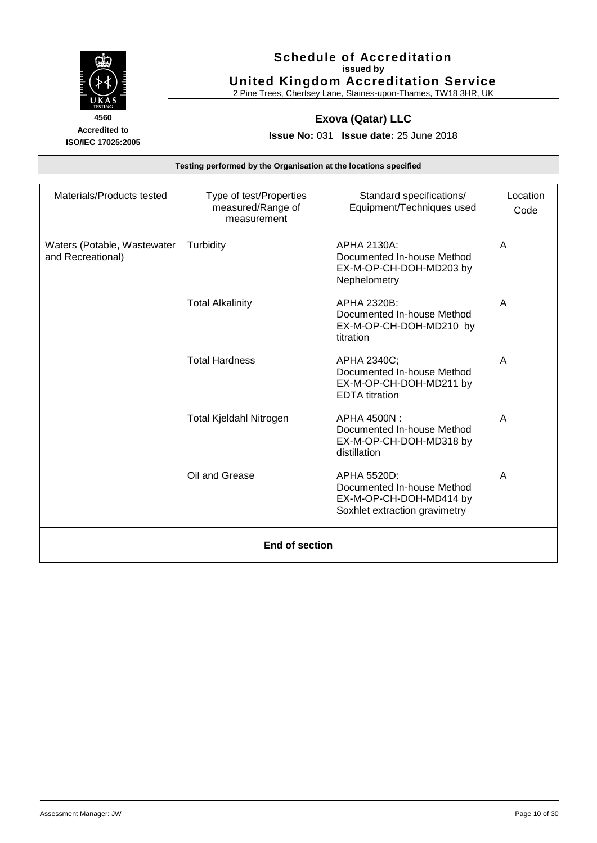

#### **Schedule of Accreditation issued by United Kingdom Accreditation Service**

2 Pine Trees, Chertsey Lane, Staines-upon-Thames, TW18 3HR, UK

### **Exova (Qatar) LLC**

**Issue No:** 031 **Issue date:** 25 June 2018

| Materials/Products tested                        | Type of test/Properties<br>measured/Range of<br>measurement | Standard specifications/<br>Equipment/Techniques used                                                 | Location<br>Code |
|--------------------------------------------------|-------------------------------------------------------------|-------------------------------------------------------------------------------------------------------|------------------|
| Waters (Potable, Wastewater<br>and Recreational) | Turbidity                                                   | APHA 2130A:<br>Documented In-house Method<br>EX-M-OP-CH-DOH-MD203 by<br>Nephelometry                  | A                |
|                                                  | <b>Total Alkalinity</b>                                     | APHA 2320B:<br>Documented In-house Method<br>EX-M-OP-CH-DOH-MD210 by<br>titration                     | A                |
|                                                  | <b>Total Hardness</b>                                       | APHA 2340C;<br>Documented In-house Method<br>EX-M-OP-CH-DOH-MD211 by<br><b>EDTA</b> titration         | A                |
|                                                  | Total Kjeldahl Nitrogen                                     | APHA 4500N:<br>Documented In-house Method<br>EX-M-OP-CH-DOH-MD318 by<br>distillation                  | A                |
|                                                  | Oil and Grease                                              | APHA 5520D:<br>Documented In-house Method<br>EX-M-OP-CH-DOH-MD414 by<br>Soxhlet extraction gravimetry | A                |
|                                                  | End of section                                              |                                                                                                       |                  |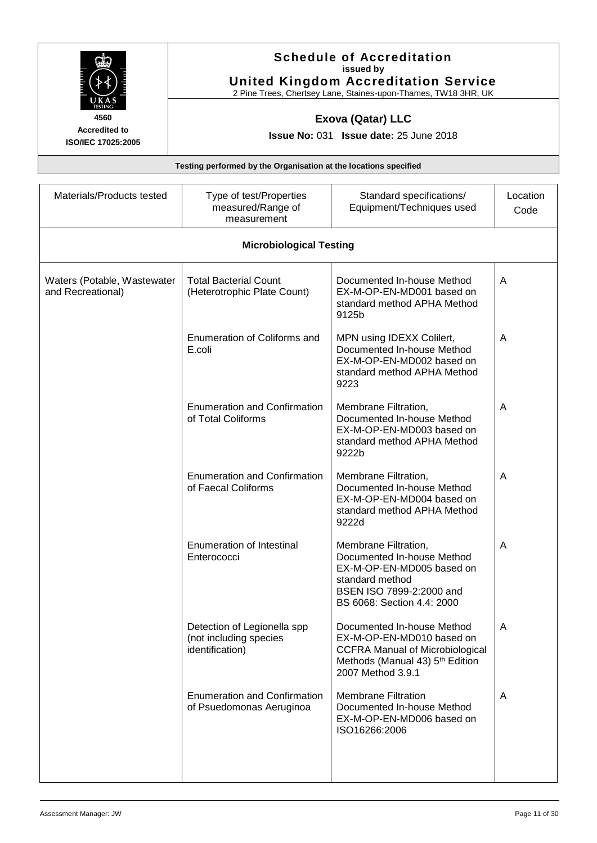|                                                    |                                                                          | <b>Schedule of Accreditation</b><br>issued by<br><b>United Kingdom Accreditation Service</b><br>2 Pine Trees, Chertsey Lane, Staines-upon-Thames, TW18 3HR, UK            |                  |
|----------------------------------------------------|--------------------------------------------------------------------------|---------------------------------------------------------------------------------------------------------------------------------------------------------------------------|------------------|
| 4560<br><b>Accredited to</b><br>ISO/IEC 17025:2005 |                                                                          | <b>Exova (Qatar) LLC</b><br><b>Issue No: 031 Issue date: 25 June 2018</b>                                                                                                 |                  |
|                                                    | Testing performed by the Organisation at the locations specified         |                                                                                                                                                                           |                  |
| Materials/Products tested                          | Type of test/Properties<br>measured/Range of<br>measurement              | Standard specifications/<br>Equipment/Techniques used                                                                                                                     | Location<br>Code |
|                                                    | <b>Microbiological Testing</b>                                           |                                                                                                                                                                           |                  |
| Waters (Potable, Wastewater<br>and Recreational)   | <b>Total Bacterial Count</b><br>(Heterotrophic Plate Count)              | Documented In-house Method<br>EX-M-OP-EN-MD001 based on<br>standard method APHA Method<br>9125b                                                                           | A                |
|                                                    | Enumeration of Coliforms and<br>E.coli                                   | MPN using IDEXX Colilert,<br>Documented In-house Method<br>EX-M-OP-EN-MD002 based on<br>standard method APHA Method<br>9223                                               | A                |
|                                                    | <b>Enumeration and Confirmation</b><br>of Total Coliforms                | Membrane Filtration,<br>Documented In-house Method<br>EX-M-OP-EN-MD003 based on<br>standard method APHA Method<br>9222b                                                   | A                |
|                                                    | <b>Enumeration and Confirmation</b><br>of Faecal Coliforms               | Membrane Filtration,<br>Documented In-house Method<br>EX-M-OP-EN-MD004 based on<br>standard method APHA Method<br>9222d                                                   |                  |
|                                                    | Enumeration of Intestinal<br>Enterococci                                 | Membrane Filtration,<br>Documented In-house Method<br>EX-M-OP-EN-MD005 based on<br>standard method<br>BSEN ISO 7899-2:2000 and<br>BS 6068: Section 4.4: 2000              | A                |
|                                                    | Detection of Legionella spp<br>(not including species<br>identification) | Documented In-house Method<br>EX-M-OP-EN-MD010 based on<br><b>CCFRA Manual of Microbiological</b><br>Methods (Manual 43) 5 <sup>th</sup> Edition<br>$2007$ Mothod $2.0.1$ | A                |

2007 Method 3.9.1 Enumeration and Confirmation of Psuedomonas Aeruginoa Membrane Filtration Documented In-house Method EX-M-OP-EN-MD006 based on A ISO16266:2006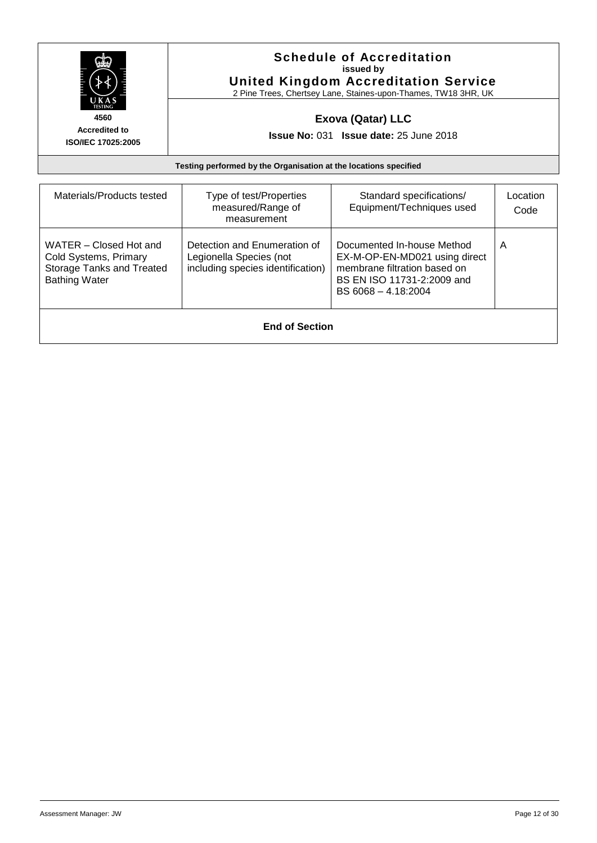| i<br>Filmonia<br>11                  <br>КАS<br><b>TESTING</b> |  |
|----------------------------------------------------------------|--|
| 560                                                            |  |

### **Schedule of Accreditation issued by United Kingdom Accreditation Service**

2 Pine Trees, Chertsey Lane, Staines-upon-Thames, TW18 3HR, UK

### **Exova (Qatar) LLC**

**Issue No:** 031 **Issue date:** 25 June 2018

| Materials/Products tested                                                                                   | Type of test/Properties<br>measured/Range of<br>measurement                                  | Standard specifications/<br>Equipment/Techniques used                                                                                              | Location<br>Code |
|-------------------------------------------------------------------------------------------------------------|----------------------------------------------------------------------------------------------|----------------------------------------------------------------------------------------------------------------------------------------------------|------------------|
| WATER - Closed Hot and<br>Cold Systems, Primary<br><b>Storage Tanks and Treated</b><br><b>Bathing Water</b> | Detection and Enumeration of<br>Legionella Species (not<br>including species identification) | Documented In-house Method<br>EX-M-OP-EN-MD021 using direct<br>membrane filtration based on<br>BS EN ISO 11731-2:2009 and<br>$BS 6068 - 4.18:2004$ | A                |
| <b>End of Section</b>                                                                                       |                                                                                              |                                                                                                                                                    |                  |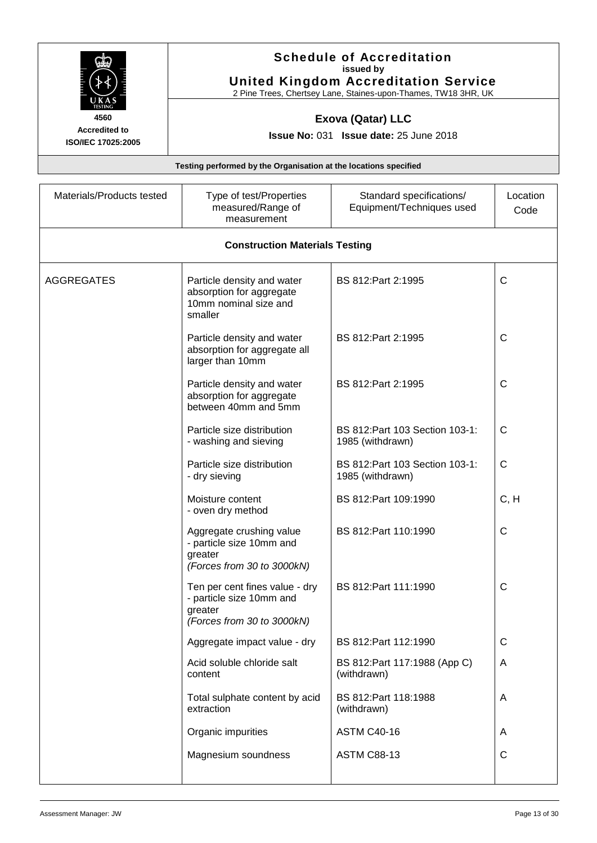| 4560<br><b>Accredited to</b><br>ISO/IEC 17025:2005<br>Materials/Products tested |                                                                                          | <b>Schedule of Accreditation</b><br>issued by<br><b>United Kingdom Accreditation Service</b><br>2 Pine Trees, Chertsey Lane, Staines-upon-Thames, TW18 3HR, UK |                  |  |
|---------------------------------------------------------------------------------|------------------------------------------------------------------------------------------|----------------------------------------------------------------------------------------------------------------------------------------------------------------|------------------|--|
|                                                                                 |                                                                                          | <b>Exova (Qatar) LLC</b>                                                                                                                                       |                  |  |
|                                                                                 |                                                                                          | <b>Issue No: 031 Issue date: 25 June 2018</b>                                                                                                                  |                  |  |
|                                                                                 | Testing performed by the Organisation at the locations specified                         |                                                                                                                                                                |                  |  |
|                                                                                 | Type of test/Properties<br>measured/Range of<br>measurement                              | Standard specifications/<br>Equipment/Techniques used                                                                                                          | Location<br>Code |  |
|                                                                                 | <b>Construction Materials Testing</b>                                                    |                                                                                                                                                                |                  |  |
| <b>AGGREGATES</b><br>smaller                                                    | Particle density and water<br>absorption for aggregate<br>10mm nominal size and          | BS 812: Part 2: 1995                                                                                                                                           | C                |  |
|                                                                                 | Particle density and water<br>absorption for aggregate all<br>larger than 10mm           | BS 812: Part 2: 1995                                                                                                                                           | С                |  |
|                                                                                 | Particle density and water<br>absorption for aggregate<br>between 40mm and 5mm           | BS 812: Part 2: 1995                                                                                                                                           | C                |  |
|                                                                                 | Particle size distribution<br>- washing and sieving                                      | BS 812: Part 103 Section 103-1:<br>1985 (withdrawn)                                                                                                            | С                |  |
| - dry sieving                                                                   | Particle size distribution                                                               | BS 812: Part 103 Section 103-1:<br>1985 (withdrawn)                                                                                                            | С                |  |
| Moisture content                                                                | - oven dry method                                                                        | BS 812:Part 109:1990                                                                                                                                           | C, H             |  |
| greater                                                                         | Aggregate crushing value<br>- particle size 10mm and<br>(Forces from 30 to 3000kN)       | BS 812: Part 110:1990                                                                                                                                          | $\mathsf{C}$     |  |
| greater                                                                         | Ten per cent fines value - dry<br>- particle size 10mm and<br>(Forces from 30 to 3000kN) | BS 812: Part 111:1990                                                                                                                                          | $\mathsf{C}$     |  |
|                                                                                 | Aggregate impact value - dry                                                             | BS 812: Part 112:1990                                                                                                                                          | C                |  |
| content                                                                         | Acid soluble chloride salt                                                               | BS 812: Part 117: 1988 (App C)<br>(withdrawn)                                                                                                                  | A                |  |
| extraction                                                                      | Total sulphate content by acid                                                           | BS 812: Part 118:1988<br>(withdrawn)                                                                                                                           | A                |  |
|                                                                                 | Organic impurities                                                                       | <b>ASTM C40-16</b>                                                                                                                                             | A                |  |
|                                                                                 | Magnesium soundness                                                                      | <b>ASTM C88-13</b>                                                                                                                                             | С                |  |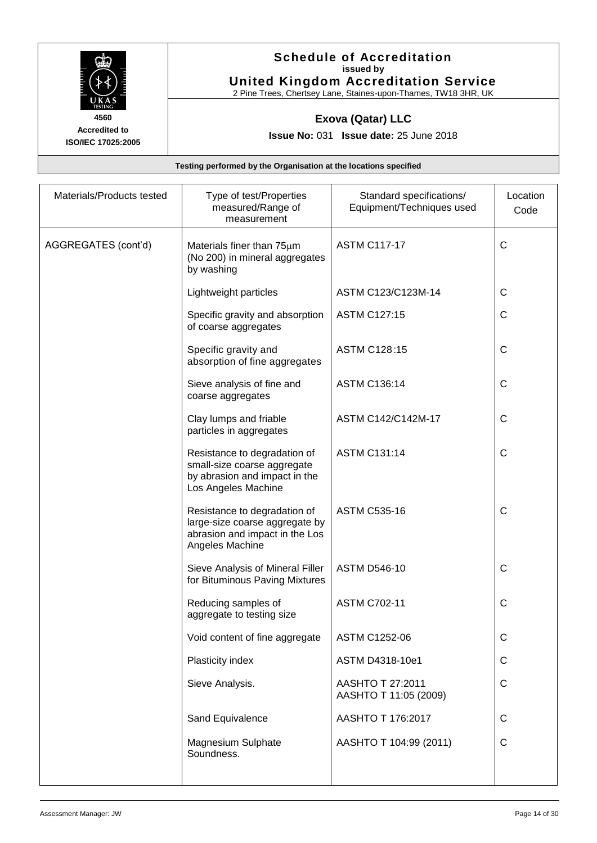

#### **Schedule of Accreditation issued by United Kingdom Accreditation Service**

2 Pine Trees, Chertsey Lane, Staines-upon-Thames, TW18 3HR, UK

### **Exova (Qatar) LLC**

**Issue No:** 031 **Issue date:** 25 June 2018

| Materials/Products tested | Type of test/Properties<br>measured/Range of<br>measurement                                                         | Standard specifications/<br>Equipment/Techniques used | Location<br>Code |
|---------------------------|---------------------------------------------------------------------------------------------------------------------|-------------------------------------------------------|------------------|
| AGGREGATES (cont'd)       | Materials finer than 75um<br>(No 200) in mineral aggregates<br>by washing                                           | <b>ASTM C117-17</b>                                   | $\mathsf{C}$     |
|                           | Lightweight particles                                                                                               | ASTM C123/C123M-14                                    | $\mathsf{C}$     |
|                           | Specific gravity and absorption<br>of coarse aggregates                                                             | <b>ASTM C127:15</b>                                   | C                |
|                           | Specific gravity and<br>absorption of fine aggregates                                                               | ASTM C128:15                                          | C                |
|                           | Sieve analysis of fine and<br>coarse aggregates                                                                     | <b>ASTM C136:14</b>                                   | C                |
|                           | Clay lumps and friable<br>particles in aggregates                                                                   | ASTM C142/C142M-17                                    | C                |
|                           | Resistance to degradation of<br>small-size coarse aggregate<br>by abrasion and impact in the<br>Los Angeles Machine | <b>ASTM C131:14</b>                                   | C                |
|                           | Resistance to degradation of<br>large-size coarse aggregate by<br>abrasion and impact in the Los<br>Angeles Machine | <b>ASTM C535-16</b>                                   | $\mathsf{C}$     |
|                           | Sieve Analysis of Mineral Filler<br>for Bituminous Paving Mixtures                                                  | <b>ASTM D546-10</b>                                   | C                |
|                           | Reducing samples of<br>aggregate to testing size                                                                    | <b>ASTM C702-11</b>                                   | $\mathsf{C}$     |
|                           | Void content of fine aggregate                                                                                      | ASTM C1252-06                                         | C                |
|                           | Plasticity index                                                                                                    | ASTM D4318-10e1                                       | C                |
|                           | Sieve Analysis.                                                                                                     | AASHTO T 27:2011<br>AASHTO T 11:05 (2009)             | C                |
|                           | Sand Equivalence                                                                                                    | AASHTO T 176:2017                                     | C                |
|                           | <b>Magnesium Sulphate</b><br>Soundness.                                                                             | AASHTO T 104:99 (2011)                                | $\mathsf{C}$     |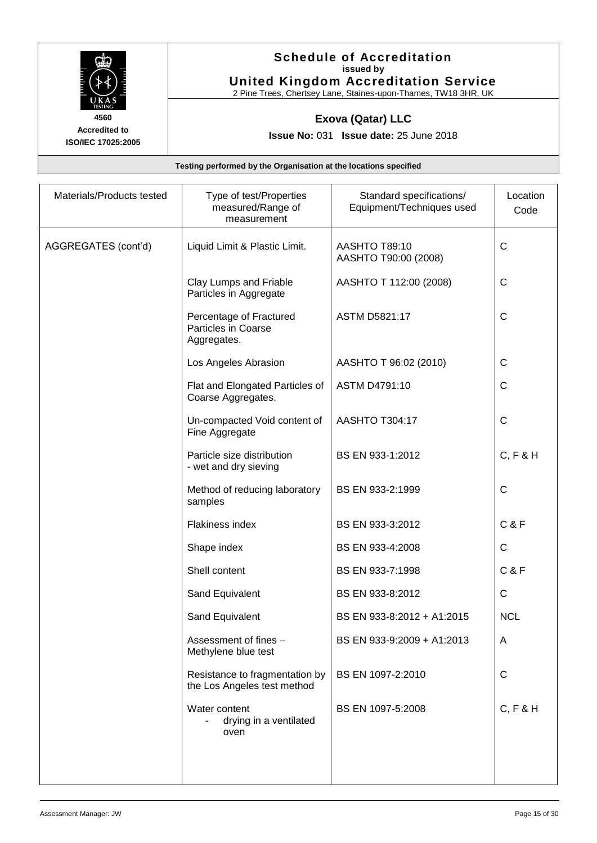

#### **Schedule of Accreditation issued by United Kingdom Accreditation Service**

2 Pine Trees, Chertsey Lane, Staines-upon-Thames, TW18 3HR, UK

### **Exova (Qatar) LLC**

**Issue No:** 031 **Issue date:** 25 June 2018

| Materials/Products tested | Type of test/Properties<br>measured/Range of<br>measurement          | Standard specifications/<br>Equipment/Techniques used | Location<br>Code |
|---------------------------|----------------------------------------------------------------------|-------------------------------------------------------|------------------|
| AGGREGATES (cont'd)       | Liquid Limit & Plastic Limit.                                        | AASHTO T89:10<br>AASHTO T90:00 (2008)                 | $\mathsf C$      |
|                           | Clay Lumps and Friable<br>Particles in Aggregate                     | AASHTO T 112:00 (2008)                                | $\mathsf{C}$     |
|                           | Percentage of Fractured<br><b>Particles in Coarse</b><br>Aggregates. | <b>ASTM D5821:17</b>                                  | $\mathsf{C}$     |
|                           | Los Angeles Abrasion                                                 | AASHTO T 96:02 (2010)                                 | $\mathsf C$      |
|                           | Flat and Elongated Particles of<br>Coarse Aggregates.                | ASTM D4791:10                                         | $\mathsf C$      |
|                           | Un-compacted Void content of<br>Fine Aggregate                       | AASHTO T304:17                                        | $\mathsf C$      |
|                           | Particle size distribution<br>- wet and dry sieving                  | BS EN 933-1:2012                                      | C, F & H         |
|                           | Method of reducing laboratory<br>samples                             | BS EN 933-2:1999                                      | $\mathsf C$      |
|                           | Flakiness index                                                      | BS EN 933-3:2012                                      | <b>C&amp;F</b>   |
|                           | Shape index                                                          | BS EN 933-4:2008                                      | $\mathsf C$      |
|                           | Shell content                                                        | BS EN 933-7:1998                                      | <b>C&amp;F</b>   |
|                           | Sand Equivalent                                                      | BS EN 933-8:2012                                      | $\mathsf C$      |
|                           | Sand Equivalent                                                      | BS EN 933-8:2012 + A1:2015                            | <b>NCL</b>       |
|                           | Assessment of fines -<br>Methylene blue test                         | BS EN 933-9:2009 + A1:2013                            | A                |
|                           | Resistance to fragmentation by<br>the Los Angeles test method        | BS EN 1097-2:2010                                     | $\mathsf{C}$     |
|                           | Water content<br>drying in a ventilated<br>oven                      | BS EN 1097-5:2008                                     | C, F & H         |
|                           |                                                                      |                                                       |                  |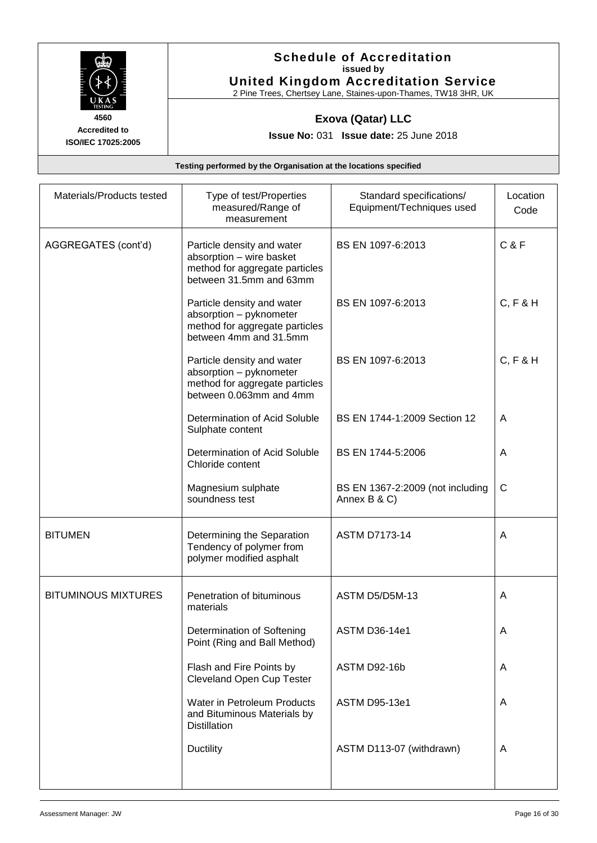

#### **Schedule of Accreditation issued by United Kingdom Accreditation Service**

2 Pine Trees, Chertsey Lane, Staines-upon-Thames, TW18 3HR, UK

### **Exova (Qatar) LLC**

**Issue No:** 031 **Issue date:** 25 June 2018

| Materials/Products tested  | Type of test/Properties<br>measured/Range of<br>measurement                                                         | Standard specifications/<br>Equipment/Techniques used | Location<br>Code |
|----------------------------|---------------------------------------------------------------------------------------------------------------------|-------------------------------------------------------|------------------|
| AGGREGATES (cont'd)        | Particle density and water<br>absorption - wire basket<br>method for aggregate particles<br>between 31.5mm and 63mm | BS EN 1097-6:2013                                     | <b>C&amp;F</b>   |
|                            | Particle density and water<br>absorption - pyknometer<br>method for aggregate particles<br>between 4mm and 31.5mm   | BS EN 1097-6:2013                                     | C, F & H         |
|                            | Particle density and water<br>absorption - pyknometer<br>method for aggregate particles<br>between 0.063mm and 4mm  | BS EN 1097-6:2013                                     | C, F & H         |
|                            | Determination of Acid Soluble<br>Sulphate content                                                                   | BS EN 1744-1:2009 Section 12                          | A                |
|                            | Determination of Acid Soluble<br>Chloride content                                                                   | BS EN 1744-5:2006                                     | A                |
|                            | Magnesium sulphate<br>soundness test                                                                                | BS EN 1367-2:2009 (not including<br>Annex B & C)      | C                |
| <b>BITUMEN</b>             | Determining the Separation<br>Tendency of polymer from<br>polymer modified asphalt                                  | <b>ASTM D7173-14</b>                                  | A                |
| <b>BITUMINOUS MIXTURES</b> | Penetration of bituminous<br>materials                                                                              | ASTM D5/D5M-13                                        | A                |
|                            | Determination of Softening<br>Point (Ring and Ball Method)                                                          | <b>ASTM D36-14e1</b>                                  |                  |
|                            | Flash and Fire Points by<br><b>Cleveland Open Cup Tester</b>                                                        | ASTM D92-16b                                          | A                |
|                            | Water in Petroleum Products<br>and Bituminous Materials by<br><b>Distillation</b>                                   | <b>ASTM D95-13e1</b>                                  | A                |
|                            | <b>Ductility</b>                                                                                                    | ASTM D113-07 (withdrawn)                              | A                |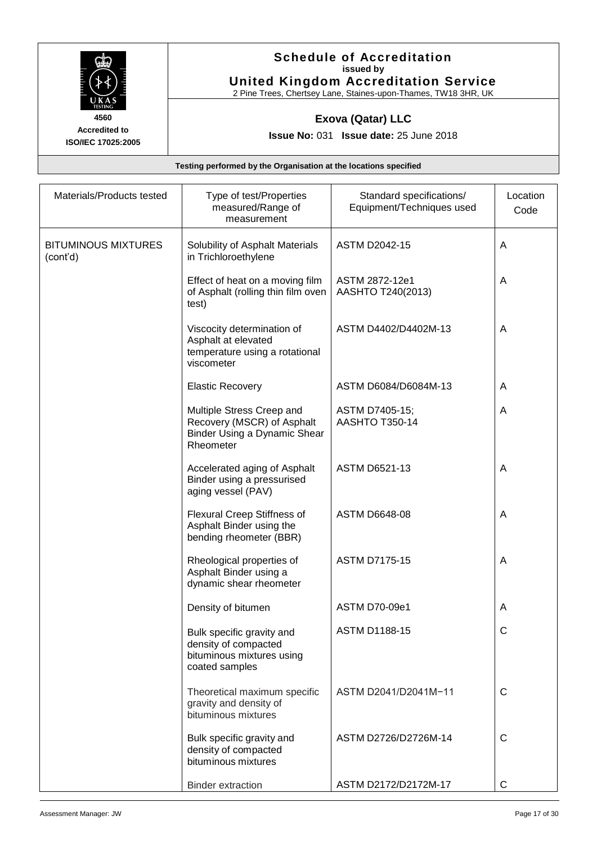

#### **Schedule of Accreditation issued by United Kingdom Accreditation Service**

2 Pine Trees, Chertsey Lane, Staines-upon-Thames, TW18 3HR, UK

### **Exova (Qatar) LLC**

**Issue No:** 031 **Issue date:** 25 June 2018

| Materials/Products tested              | Type of test/Properties<br>measured/Range of<br>measurement                                          | Standard specifications/<br>Equipment/Techniques used | Location<br>Code |
|----------------------------------------|------------------------------------------------------------------------------------------------------|-------------------------------------------------------|------------------|
| <b>BITUMINOUS MIXTURES</b><br>(cont'd) | Solubility of Asphalt Materials<br>in Trichloroethylene                                              | <b>ASTM D2042-15</b>                                  | A                |
|                                        | Effect of heat on a moving film<br>of Asphalt (rolling thin film oven<br>test)                       | ASTM 2872-12e1<br>AASHTO T240(2013)                   | A                |
|                                        | Viscocity determination of<br>Asphalt at elevated<br>temperature using a rotational<br>viscometer    | ASTM D4402/D4402M-13                                  | A                |
|                                        | <b>Elastic Recovery</b>                                                                              | ASTM D6084/D6084M-13                                  | A                |
|                                        | Multiple Stress Creep and<br>Recovery (MSCR) of Asphalt<br>Binder Using a Dynamic Shear<br>Rheometer | ASTM D7405-15;<br>AASHTO T350-14                      | A                |
|                                        | Accelerated aging of Asphalt<br>Binder using a pressurised<br>aging vessel (PAV)                     | <b>ASTM D6521-13</b>                                  | A                |
|                                        | Flexural Creep Stiffness of<br>Asphalt Binder using the<br>bending rheometer (BBR)                   | <b>ASTM D6648-08</b>                                  | A                |
|                                        | Rheological properties of<br>Asphalt Binder using a<br>dynamic shear rheometer                       | <b>ASTM D7175-15</b>                                  | A                |
|                                        | Density of bitumen                                                                                   | <b>ASTM D70-09e1</b>                                  | A                |
|                                        | Bulk specific gravity and<br>density of compacted<br>bituminous mixtures using<br>coated samples     | <b>ASTM D1188-15</b>                                  | С                |
|                                        | Theoretical maximum specific<br>gravity and density of<br>bituminous mixtures                        | ASTM D2041/D2041M-11                                  | $\mathsf{C}$     |
|                                        | Bulk specific gravity and<br>density of compacted<br>bituminous mixtures                             | ASTM D2726/D2726M-14                                  | C                |
|                                        | <b>Binder extraction</b>                                                                             | ASTM D2172/D2172M-17                                  | $\mathsf{C}$     |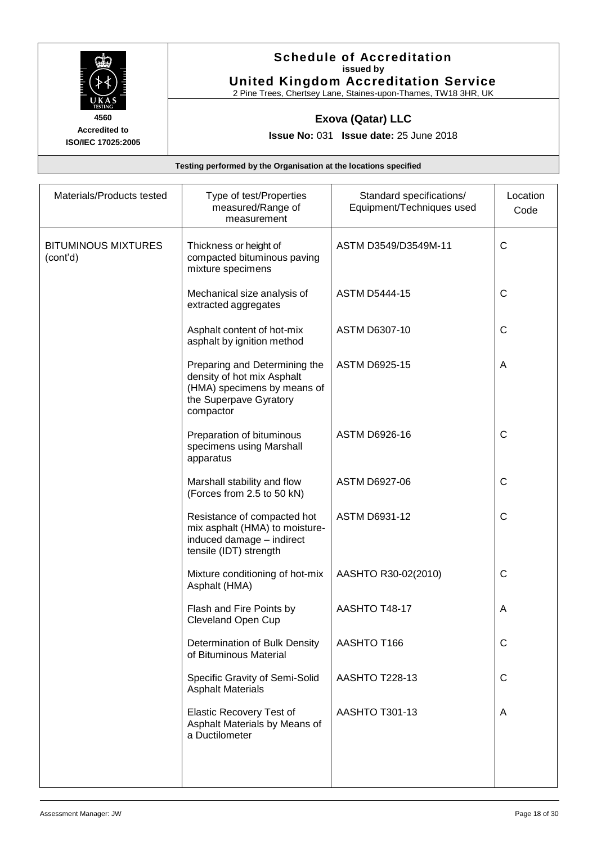

#### **Schedule of Accreditation issued by United Kingdom Accreditation Service**

2 Pine Trees, Chertsey Lane, Staines-upon-Thames, TW18 3HR, UK

### **Exova (Qatar) LLC**

**Issue No:** 031 **Issue date:** 25 June 2018

| Materials/Products tested              | Type of test/Properties<br>measured/Range of<br>measurement                                                                       | Standard specifications/<br>Equipment/Techniques used | Location<br>Code |
|----------------------------------------|-----------------------------------------------------------------------------------------------------------------------------------|-------------------------------------------------------|------------------|
| <b>BITUMINOUS MIXTURES</b><br>(cont'd) | Thickness or height of<br>compacted bituminous paving<br>mixture specimens                                                        | ASTM D3549/D3549M-11                                  | $\mathsf{C}$     |
|                                        | Mechanical size analysis of<br>extracted aggregates                                                                               | <b>ASTM D5444-15</b>                                  | C                |
|                                        | Asphalt content of hot-mix<br>asphalt by ignition method                                                                          | <b>ASTM D6307-10</b>                                  | C                |
|                                        | Preparing and Determining the<br>density of hot mix Asphalt<br>(HMA) specimens by means of<br>the Superpave Gyratory<br>compactor | <b>ASTM D6925-15</b>                                  | A                |
|                                        | Preparation of bituminous<br>specimens using Marshall<br>apparatus                                                                | ASTM D6926-16                                         | $\mathsf{C}$     |
|                                        | Marshall stability and flow<br>(Forces from 2.5 to 50 kN)                                                                         | ASTM D6927-06                                         | C                |
|                                        | Resistance of compacted hot<br>mix asphalt (HMA) to moisture-<br>induced damage - indirect<br>tensile (IDT) strength              | ASTM D6931-12                                         | $\mathsf{C}$     |
|                                        | Mixture conditioning of hot-mix<br>Asphalt (HMA)                                                                                  | AASHTO R30-02(2010)                                   | C                |
|                                        | Flash and Fire Points by<br>Cleveland Open Cup                                                                                    | AASHTO T48-17                                         | A                |
|                                        | Determination of Bulk Density<br>of Bituminous Material                                                                           | AASHTO T166                                           | C                |
|                                        | Specific Gravity of Semi-Solid<br><b>Asphalt Materials</b>                                                                        | <b>AASHTO T228-13</b>                                 | $\mathsf{C}$     |
|                                        | <b>Elastic Recovery Test of</b><br>Asphalt Materials by Means of<br>a Ductilometer                                                | AASHTO T301-13                                        | A                |
|                                        |                                                                                                                                   |                                                       |                  |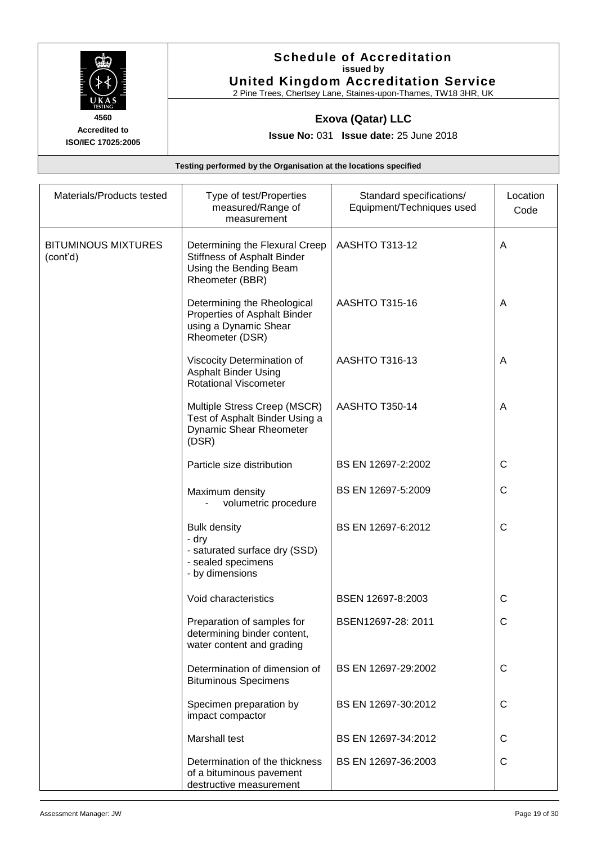

#### **Schedule of Accreditation issued by United Kingdom Accreditation Service**

2 Pine Trees, Chertsey Lane, Staines-upon-Thames, TW18 3HR, UK

### **Exova (Qatar) LLC**

**Issue No:** 031 **Issue date:** 25 June 2018

| Materials/Products tested              | Type of test/Properties<br>measured/Range of<br>measurement                                                | Standard specifications/<br>Equipment/Techniques used | Location<br>Code |
|----------------------------------------|------------------------------------------------------------------------------------------------------------|-------------------------------------------------------|------------------|
| <b>BITUMINOUS MIXTURES</b><br>(cont'd) | Determining the Flexural Creep<br>Stiffness of Asphalt Binder<br>Using the Bending Beam<br>Rheometer (BBR) | <b>AASHTO T313-12</b>                                 | A                |
|                                        | Determining the Rheological<br>Properties of Asphalt Binder<br>using a Dynamic Shear<br>Rheometer (DSR)    | <b>AASHTO T315-16</b>                                 | A                |
|                                        | Viscocity Determination of<br><b>Asphalt Binder Using</b><br><b>Rotational Viscometer</b>                  | <b>AASHTO T316-13</b>                                 | A                |
|                                        | Multiple Stress Creep (MSCR)<br>Test of Asphalt Binder Using a<br><b>Dynamic Shear Rheometer</b><br>(DSR)  | <b>AASHTO T350-14</b>                                 | A                |
|                                        | Particle size distribution                                                                                 | BS EN 12697-2:2002                                    | $\mathsf{C}$     |
|                                        | Maximum density<br>volumetric procedure                                                                    | BS EN 12697-5:2009                                    | $\mathsf{C}$     |
|                                        | <b>Bulk density</b><br>- dry<br>- saturated surface dry (SSD)<br>- sealed specimens<br>- by dimensions     | BS EN 12697-6:2012                                    | $\mathsf{C}$     |
|                                        | Void characteristics                                                                                       | BSEN 12697-8:2003                                     | $\mathsf{C}$     |
|                                        | Preparation of samples for<br>determining binder content,<br>water content and grading                     | BSEN12697-28: 2011                                    | C                |
|                                        | Determination of dimension of<br><b>Bituminous Specimens</b>                                               | BS EN 12697-29:2002                                   | C                |
|                                        | Specimen preparation by<br>impact compactor                                                                | BS EN 12697-30:2012                                   | $\mathsf{C}$     |
|                                        | Marshall test                                                                                              | BS EN 12697-34:2012                                   | C                |
|                                        | Determination of the thickness<br>of a bituminous pavement<br>destructive measurement                      | BS EN 12697-36:2003                                   | $\mathsf{C}$     |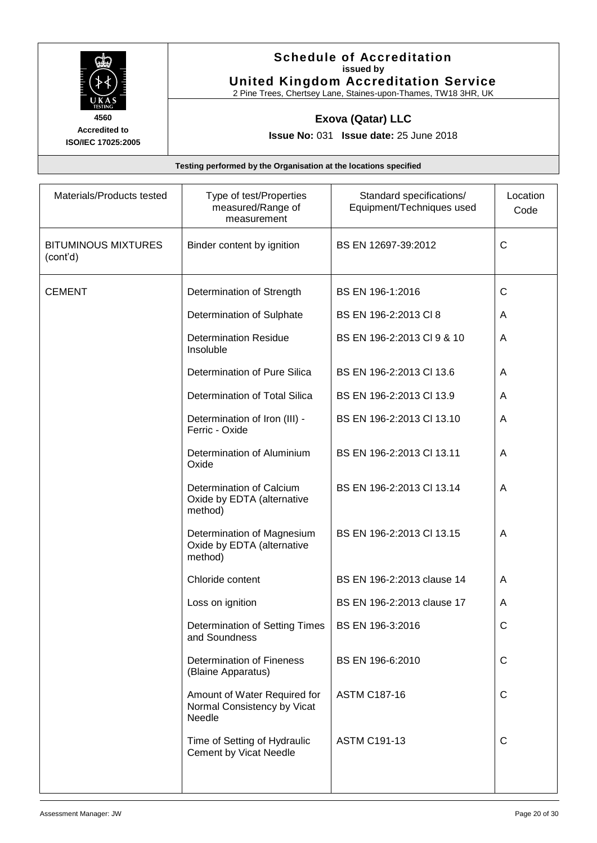

#### **Schedule of Accreditation issued by United Kingdom Accreditation Service**

2 Pine Trees, Chertsey Lane, Staines-upon-Thames, TW18 3HR, UK

### **Exova (Qatar) LLC**

**Issue No:** 031 **Issue date:** 25 June 2018

| Materials/Products tested              | Type of test/Properties<br>measured/Range of<br>measurement           | Standard specifications/<br>Equipment/Techniques used | Location<br>Code |
|----------------------------------------|-----------------------------------------------------------------------|-------------------------------------------------------|------------------|
| <b>BITUMINOUS MIXTURES</b><br>(cont'd) | Binder content by ignition                                            | BS EN 12697-39:2012                                   | $\mathsf{C}$     |
| <b>CEMENT</b>                          | Determination of Strength                                             | BS EN 196-1:2016                                      | C                |
|                                        | Determination of Sulphate                                             | BS EN 196-2:2013 CI 8                                 | A                |
|                                        | <b>Determination Residue</b><br>Insoluble                             | BS EN 196-2:2013 CI 9 & 10                            | A                |
|                                        | Determination of Pure Silica                                          | BS EN 196-2:2013 CI 13.6                              | A                |
|                                        | Determination of Total Silica                                         | BS EN 196-2:2013 Cl 13.9                              | A                |
|                                        | Determination of Iron (III) -<br>Ferric - Oxide                       | BS EN 196-2:2013 Cl 13.10                             | A                |
|                                        | Determination of Aluminium<br>Oxide                                   | BS EN 196-2:2013 CI 13.11                             | A                |
|                                        | Determination of Calcium<br>Oxide by EDTA (alternative<br>method)     | BS EN 196-2:2013 Cl 13.14                             | A                |
|                                        | Determination of Magnesium<br>Oxide by EDTA (alternative<br>method)   | BS EN 196-2:2013 CI 13.15                             | A                |
|                                        | Chloride content                                                      | BS EN 196-2:2013 clause 14                            | A                |
|                                        | Loss on ignition                                                      | BS EN 196-2:2013 clause 17                            | A                |
|                                        | Determination of Setting Times<br>and Soundness                       | BS EN 196-3:2016                                      | C                |
|                                        | Determination of Fineness<br>(Blaine Apparatus)                       | BS EN 196-6:2010                                      | $\mathsf{C}$     |
|                                        | Amount of Water Required for<br>Normal Consistency by Vicat<br>Needle | <b>ASTM C187-16</b>                                   | C                |
|                                        | Time of Setting of Hydraulic<br><b>Cement by Vicat Needle</b>         | <b>ASTM C191-13</b>                                   | C                |
|                                        |                                                                       |                                                       |                  |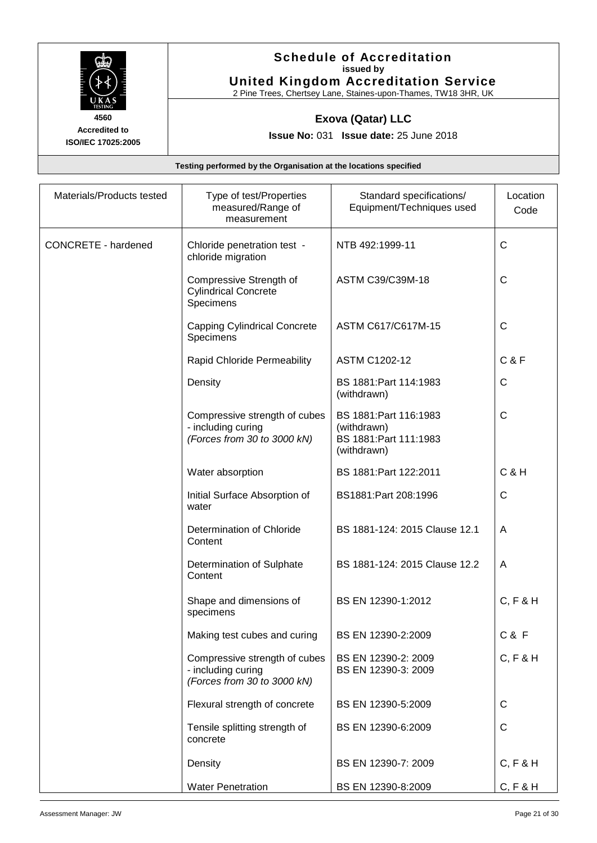

#### **Schedule of Accreditation issued by United Kingdom Accreditation Service**

2 Pine Trees, Chertsey Lane, Staines-upon-Thames, TW18 3HR, UK

### **Exova (Qatar) LLC**

**Issue No:** 031 **Issue date:** 25 June 2018

**Testing performed by the Organisation at the locations specified**

| Materials/Products tested  | Type of test/Properties<br>measured/Range of<br>measurement                        | Standard specifications/<br>Equipment/Techniques used                          | Location<br>Code |
|----------------------------|------------------------------------------------------------------------------------|--------------------------------------------------------------------------------|------------------|
| <b>CONCRETE - hardened</b> | Chloride penetration test -<br>chloride migration                                  | NTB 492:1999-11                                                                | $\mathsf{C}$     |
|                            | Compressive Strength of<br><b>Cylindrical Concrete</b><br>Specimens                | ASTM C39/C39M-18                                                               | $\mathsf{C}$     |
|                            | <b>Capping Cylindrical Concrete</b><br>Specimens                                   | ASTM C617/C617M-15                                                             | $\mathsf{C}$     |
|                            | Rapid Chloride Permeability                                                        | <b>ASTM C1202-12</b>                                                           | <b>C&amp;F</b>   |
|                            | Density                                                                            | BS 1881: Part 114: 1983<br>(withdrawn)                                         | C                |
|                            | Compressive strength of cubes<br>- including curing<br>(Forces from 30 to 3000 kN) | BS 1881: Part 116:1983<br>(withdrawn)<br>BS 1881: Part 111:1983<br>(withdrawn) | $\mathsf{C}$     |
|                            | Water absorption                                                                   | BS 1881: Part 122: 2011                                                        | $C$ & $H$        |
|                            | Initial Surface Absorption of<br>water                                             | BS1881:Part 208:1996                                                           | $\mathsf{C}$     |
|                            | Determination of Chloride<br>Content                                               | BS 1881-124: 2015 Clause 12.1                                                  | A                |
|                            | Determination of Sulphate<br>Content                                               | BS 1881-124: 2015 Clause 12.2                                                  | A                |
|                            | Shape and dimensions of<br>specimens                                               | BS EN 12390-1:2012                                                             | C, F & H         |
|                            | Making test cubes and curing                                                       | BS EN 12390-2:2009                                                             | C & F            |
|                            | Compressive strength of cubes<br>- including curing<br>(Forces from 30 to 3000 kN) | BS EN 12390-2: 2009<br>BS EN 12390-3: 2009                                     | C, F & H         |
|                            | Flexural strength of concrete                                                      | BS EN 12390-5:2009                                                             | C                |
|                            | Tensile splitting strength of<br>concrete                                          | BS EN 12390-6:2009                                                             | $\mathsf{C}$     |
|                            | Density                                                                            | BS EN 12390-7: 2009                                                            | C, F & H         |
|                            | <b>Water Penetration</b>                                                           | BS EN 12390-8:2009                                                             | C, F & H         |

**Accredited to ISO/IEC 17025:2005**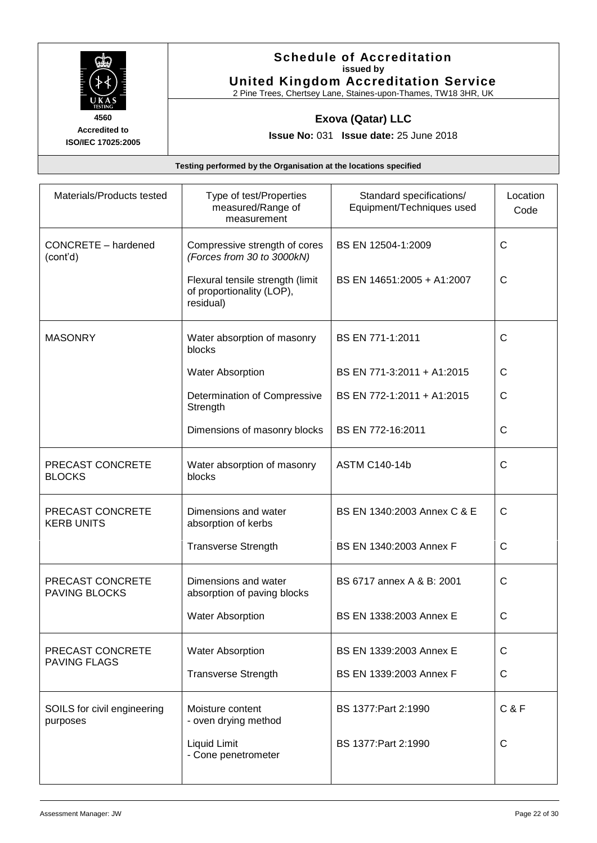

#### **Schedule of Accreditation issued by United Kingdom Accreditation Service**

2 Pine Trees, Chertsey Lane, Staines-upon-Thames, TW18 3HR, UK

### **Exova (Qatar) LLC**

**Issue No:** 031 **Issue date:** 25 June 2018

| Materials/Products tested                | Type of test/Properties<br>measured/Range of<br>measurement                | Standard specifications/<br>Equipment/Techniques used | Location<br>Code |
|------------------------------------------|----------------------------------------------------------------------------|-------------------------------------------------------|------------------|
| CONCRETE - hardened<br>(cont'd)          | Compressive strength of cores<br>(Forces from 30 to 3000kN)                | BS EN 12504-1:2009                                    | $\mathsf{C}$     |
|                                          | Flexural tensile strength (limit<br>of proportionality (LOP),<br>residual) | BS EN 14651:2005 + A1:2007                            | C                |
| <b>MASONRY</b>                           | Water absorption of masonry<br>blocks                                      | BS EN 771-1:2011                                      | $\mathsf{C}$     |
|                                          | <b>Water Absorption</b>                                                    | BS EN 771-3:2011 + A1:2015                            | C                |
|                                          | Determination of Compressive<br>Strength                                   | BS EN 772-1:2011 + A1:2015                            | $\mathsf{C}$     |
|                                          | Dimensions of masonry blocks                                               | BS EN 772-16:2011                                     | $\mathsf{C}$     |
| PRECAST CONCRETE<br><b>BLOCKS</b>        | Water absorption of masonry<br>blocks                                      | <b>ASTM C140-14b</b>                                  | C                |
| PRECAST CONCRETE<br><b>KERB UNITS</b>    | Dimensions and water<br>absorption of kerbs                                | BS EN 1340:2003 Annex C & E                           | $\mathsf{C}$     |
|                                          | <b>Transverse Strength</b>                                                 | BS EN 1340:2003 Annex F                               | $\mathsf{C}$     |
| PRECAST CONCRETE<br><b>PAVING BLOCKS</b> | Dimensions and water<br>absorption of paving blocks                        | BS 6717 annex A & B: 2001                             | $\mathsf{C}$     |
|                                          | <b>Water Absorption</b>                                                    | BS EN 1338:2003 Annex E                               | C                |
| PRECAST CONCRETE<br><b>PAVING FLAGS</b>  | <b>Water Absorption</b>                                                    | BS EN 1339:2003 Annex E                               | $\mathsf{C}$     |
|                                          | <b>Transverse Strength</b>                                                 | BS EN 1339:2003 Annex F                               | C                |
| SOILS for civil engineering<br>purposes  | Moisture content<br>- oven drying method                                   | BS 1377: Part 2:1990                                  | C & F            |
|                                          | Liquid Limit<br>- Cone penetrometer                                        | BS 1377: Part 2:1990                                  | $\mathsf{C}$     |
|                                          |                                                                            |                                                       |                  |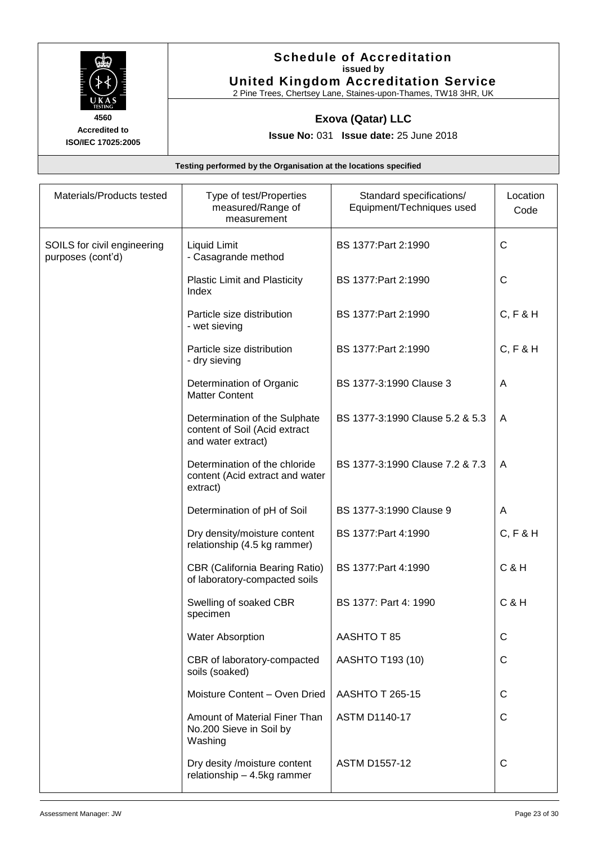

### **Schedule of Accreditation issued by United Kingdom Accreditation Service**

2 Pine Trees, Chertsey Lane, Staines-upon-Thames, TW18 3HR, UK

### **Exova (Qatar) LLC**

**Issue No:** 031 **Issue date:** 25 June 2018

| Materials/Products tested                        | Type of test/Properties<br>measured/Range of<br>measurement                          | Standard specifications/<br>Equipment/Techniques used | Location<br>Code |
|--------------------------------------------------|--------------------------------------------------------------------------------------|-------------------------------------------------------|------------------|
| SOILS for civil engineering<br>purposes (cont'd) | Liquid Limit<br>- Casagrande method                                                  | BS 1377: Part 2:1990                                  | $\mathsf{C}$     |
|                                                  | <b>Plastic Limit and Plasticity</b><br>Index                                         | BS 1377: Part 2:1990                                  | $\mathsf{C}$     |
|                                                  | Particle size distribution<br>- wet sieving                                          | BS 1377: Part 2:1990                                  | C, F & H         |
|                                                  | Particle size distribution<br>- dry sieving                                          | BS 1377: Part 2:1990                                  | C, F & H         |
|                                                  | Determination of Organic<br><b>Matter Content</b>                                    | BS 1377-3:1990 Clause 3                               | A                |
|                                                  | Determination of the Sulphate<br>content of Soil (Acid extract<br>and water extract) | BS 1377-3:1990 Clause 5.2 & 5.3                       | A                |
|                                                  | Determination of the chloride<br>content (Acid extract and water<br>extract)         | BS 1377-3:1990 Clause 7.2 & 7.3                       | A                |
|                                                  | Determination of pH of Soil                                                          | BS 1377-3:1990 Clause 9                               | A                |
|                                                  | Dry density/moisture content<br>relationship (4.5 kg rammer)                         | BS 1377: Part 4:1990                                  | C, F & H         |
|                                                  | <b>CBR (California Bearing Ratio)</b><br>of laboratory-compacted soils               | BS 1377: Part 4: 1990                                 | <b>C&amp;H</b>   |
|                                                  | Swelling of soaked CBR<br>specimen                                                   | BS 1377: Part 4: 1990                                 | <b>C&amp;H</b>   |
|                                                  | <b>Water Absorption</b>                                                              | AASHTO T 85                                           |                  |
|                                                  | CBR of laboratory-compacted<br>soils (soaked)                                        | AASHTO T193 (10)                                      | $\mathsf{C}$     |
|                                                  | Moisture Content - Oven Dried                                                        | <b>AASHTO T 265-15</b>                                | $\mathsf{C}$     |
|                                                  | Amount of Material Finer Than<br>No.200 Sieve in Soil by<br>Washing                  | <b>ASTM D1140-17</b>                                  | C                |
|                                                  | Dry desity /moisture content<br>relationship $-4.5$ kg rammer                        | <b>ASTM D1557-12</b>                                  | C                |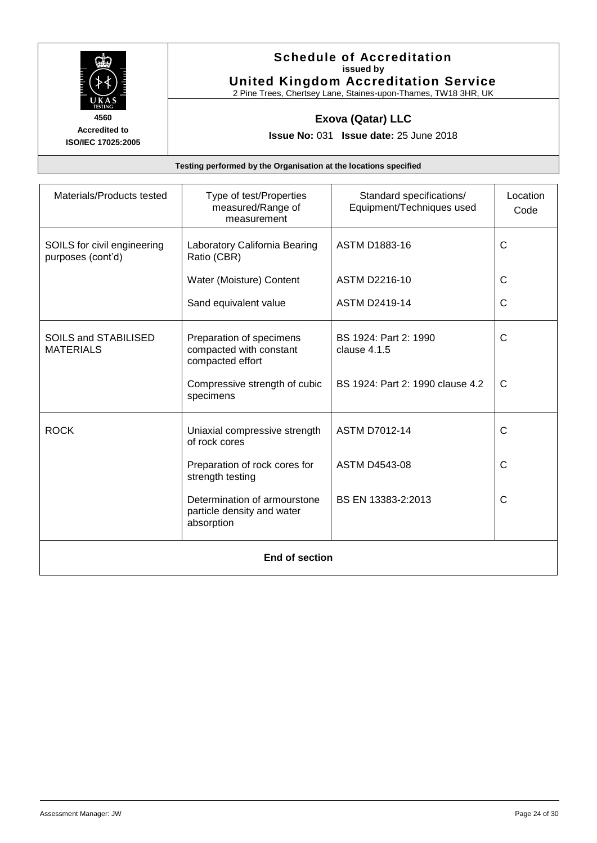

#### **Schedule of Accreditation issued by United Kingdom Accreditation Service**

2 Pine Trees, Chertsey Lane, Staines-upon-Thames, TW18 3HR, UK

### **Exova (Qatar) LLC**

**Issue No:** 031 **Issue date:** 25 June 2018

| Materials/Products tested                        | Type of test/Properties<br>measured/Range of<br>measurement              | Standard specifications/<br>Equipment/Techniques used | Location<br>Code |
|--------------------------------------------------|--------------------------------------------------------------------------|-------------------------------------------------------|------------------|
| SOILS for civil engineering<br>purposes (cont'd) | Laboratory California Bearing<br>Ratio (CBR)                             | <b>ASTM D1883-16</b>                                  | C                |
|                                                  | Water (Moisture) Content                                                 | <b>ASTM D2216-10</b>                                  | C                |
|                                                  | Sand equivalent value                                                    | <b>ASTM D2419-14</b>                                  | C                |
| <b>SOILS and STABILISED</b><br><b>MATERIALS</b>  | Preparation of specimens<br>compacted with constant<br>compacted effort  | BS 1924: Part 2: 1990<br>clause 4.1.5                 | C                |
|                                                  | Compressive strength of cubic<br>specimens                               | BS 1924: Part 2: 1990 clause 4.2                      | C                |
| <b>ROCK</b>                                      | Uniaxial compressive strength<br>of rock cores                           | <b>ASTM D7012-14</b>                                  | C                |
|                                                  | Preparation of rock cores for<br>strength testing                        | <b>ASTM D4543-08</b>                                  | C                |
|                                                  | Determination of armourstone<br>particle density and water<br>absorption | BS EN 13383-2:2013                                    | C                |
| <b>End of section</b>                            |                                                                          |                                                       |                  |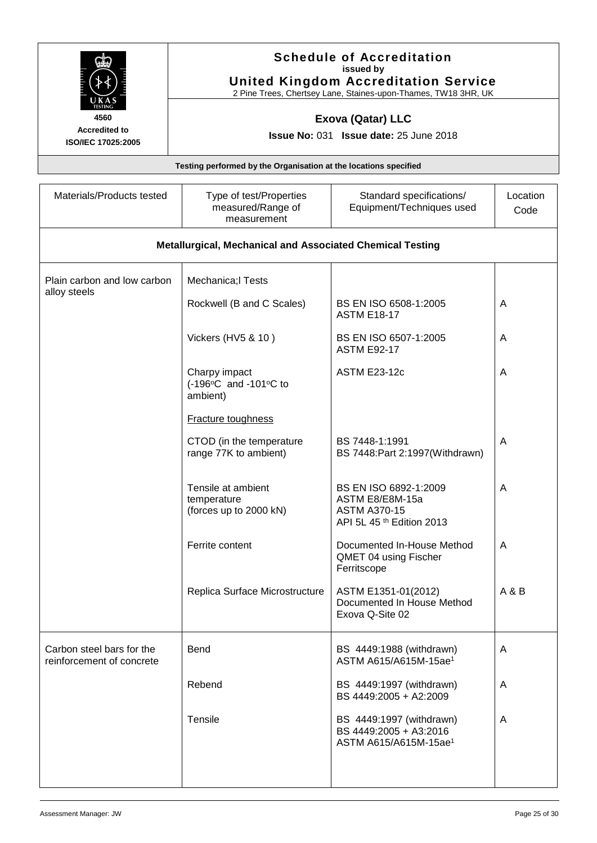|                                                        | <b>Schedule of Accreditation</b><br>issued by<br><b>United Kingdom Accreditation Service</b><br>2 Pine Trees, Chertsey Lane, Staines-upon-Thames, TW18 3HR, UK |                                                                                              |                  |  |  |
|--------------------------------------------------------|----------------------------------------------------------------------------------------------------------------------------------------------------------------|----------------------------------------------------------------------------------------------|------------------|--|--|
| 4560<br><b>Accredited to</b><br>ISO/IEC 17025:2005     | <b>Exova (Qatar) LLC</b><br><b>Issue No: 031 Issue date: 25 June 2018</b>                                                                                      |                                                                                              |                  |  |  |
|                                                        | Testing performed by the Organisation at the locations specified                                                                                               |                                                                                              |                  |  |  |
| Materials/Products tested                              | Type of test/Properties<br>measured/Range of<br>measurement                                                                                                    | Standard specifications/<br>Equipment/Techniques used                                        | Location<br>Code |  |  |
|                                                        | <b>Metallurgical, Mechanical and Associated Chemical Testing</b>                                                                                               |                                                                                              |                  |  |  |
| Plain carbon and low carbon                            | Mechanica; Tests                                                                                                                                               |                                                                                              |                  |  |  |
| alloy steels                                           | Rockwell (B and C Scales)                                                                                                                                      | BS EN ISO 6508-1:2005<br><b>ASTM E18-17</b>                                                  | A                |  |  |
|                                                        | Vickers (HV5 & 10)                                                                                                                                             | BS EN ISO 6507-1:2005<br><b>ASTM E92-17</b>                                                  | A                |  |  |
|                                                        | Charpy impact<br>(-196°C and -101°C to<br>ambient)                                                                                                             | <b>ASTM E23-12c</b>                                                                          | A                |  |  |
|                                                        | <b>Fracture toughness</b>                                                                                                                                      |                                                                                              |                  |  |  |
|                                                        | CTOD (in the temperature<br>range 77K to ambient)                                                                                                              | BS 7448-1:1991<br>BS 7448: Part 2:1997 (Withdrawn)                                           | A                |  |  |
|                                                        | Tensile at ambient<br>temperature<br>(forces up to 2000 kN)                                                                                                    | BS EN ISO 6892-1:2009<br>ASTM E8/E8M-15a<br><b>ASTM A370-15</b><br>API 5L 45 th Edition 2013 | A                |  |  |
|                                                        | Ferrite content                                                                                                                                                | Documented In-House Method<br>QMET 04 using Fischer<br>Ferritscope                           | A                |  |  |
|                                                        | Replica Surface Microstructure                                                                                                                                 | ASTM E1351-01(2012)<br>Documented In House Method<br>Exova Q-Site 02                         | A & B            |  |  |
| Carbon steel bars for the<br>reinforcement of concrete | <b>Bend</b>                                                                                                                                                    | BS 4449:1988 (withdrawn)<br>ASTM A615/A615M-15ae <sup>1</sup>                                | A                |  |  |
|                                                        | Rebend                                                                                                                                                         | BS 4449:1997 (withdrawn)<br>BS 4449:2005 + A2:2009                                           | A                |  |  |
|                                                        | Tensile                                                                                                                                                        | BS 4449:1997 (withdrawn)<br>BS 4449:2005 + A3:2016<br>ASTM A615/A615M-15ae <sup>1</sup>      | A                |  |  |
|                                                        |                                                                                                                                                                |                                                                                              |                  |  |  |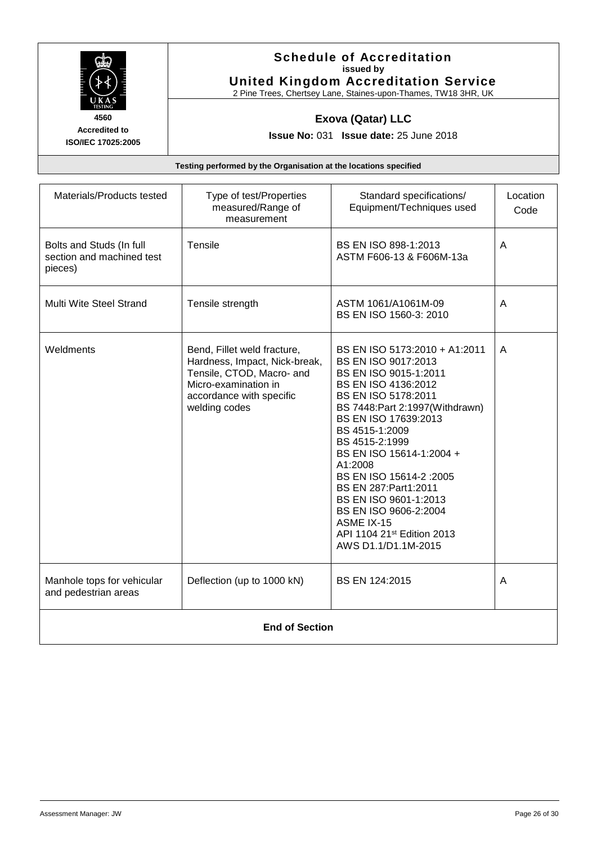

#### **Schedule of Accreditation issued by United Kingdom Accreditation Service**

2 Pine Trees, Chertsey Lane, Staines-upon-Thames, TW18 3HR, UK

### **Exova (Qatar) LLC**

**Issue No:** 031 **Issue date:** 25 June 2018

| Materials/Products tested                                        | Type of test/Properties<br>measured/Range of<br>measurement                                                                                                    | Standard specifications/<br>Equipment/Techniques used                                                                                                                                                                                                                                                                                                                                                                                         | Location<br>Code |
|------------------------------------------------------------------|----------------------------------------------------------------------------------------------------------------------------------------------------------------|-----------------------------------------------------------------------------------------------------------------------------------------------------------------------------------------------------------------------------------------------------------------------------------------------------------------------------------------------------------------------------------------------------------------------------------------------|------------------|
| Bolts and Studs (In full<br>section and machined test<br>pieces) | <b>Tensile</b>                                                                                                                                                 | BS EN ISO 898-1:2013<br>ASTM F606-13 & F606M-13a                                                                                                                                                                                                                                                                                                                                                                                              | A                |
| Multi Wite Steel Strand                                          | Tensile strength                                                                                                                                               | ASTM 1061/A1061M-09<br>BS EN ISO 1560-3: 2010                                                                                                                                                                                                                                                                                                                                                                                                 | A                |
| Weldments                                                        | Bend, Fillet weld fracture,<br>Hardness, Impact, Nick-break,<br>Tensile, CTOD, Macro- and<br>Micro-examination in<br>accordance with specific<br>welding codes | BS EN ISO 5173:2010 + A1:2011<br>BS EN ISO 9017:2013<br>BS EN ISO 9015-1:2011<br>BS EN ISO 4136:2012<br>BS EN ISO 5178:2011<br>BS 7448: Part 2:1997 (Withdrawn)<br>BS EN ISO 17639:2013<br>BS 4515-1:2009<br>BS 4515-2:1999<br>BS EN ISO 15614-1:2004 +<br>A1:2008<br>BS EN ISO 15614-2 : 2005<br>BS EN 287: Part1: 2011<br>BS EN ISO 9601-1:2013<br>BS EN ISO 9606-2:2004<br>ASME IX-15<br>API 1104 21st Edition 2013<br>AWS D1.1/D1.1M-2015 | A                |
| Manhole tops for vehicular<br>and pedestrian areas               | Deflection (up to 1000 kN)                                                                                                                                     | BS EN 124:2015                                                                                                                                                                                                                                                                                                                                                                                                                                | A                |
| <b>End of Section</b>                                            |                                                                                                                                                                |                                                                                                                                                                                                                                                                                                                                                                                                                                               |                  |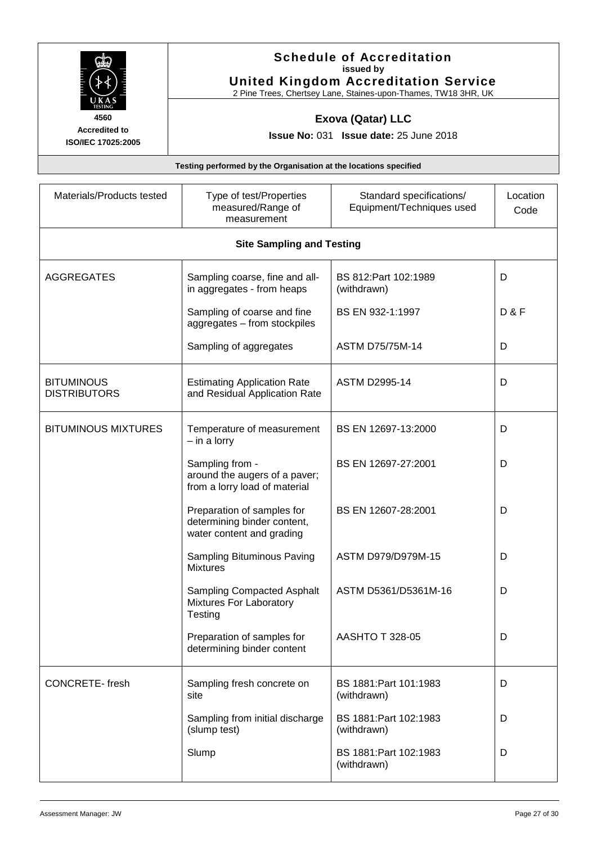| <b>United Kingdom Accreditation Service</b><br>2 Pine Trees, Chertsey Lane, Staines-upon-Thames, TW18 3HR, UK |  |  |
|---------------------------------------------------------------------------------------------------------------|--|--|
| <b>Exova (Qatar) LLC</b><br><b>Issue No: 031 Issue date: 25 June 2018</b>                                     |  |  |
| Testing performed by the Organisation at the locations specified                                              |  |  |
|                                                                                                               |  |  |

| Materials/Products tested                | Type of test/Properties<br>measured/Range of<br>measurement                            | Standard specifications/<br>Equipment/Techniques used | Location<br>Code |  |  |
|------------------------------------------|----------------------------------------------------------------------------------------|-------------------------------------------------------|------------------|--|--|
|                                          | <b>Site Sampling and Testing</b>                                                       |                                                       |                  |  |  |
| <b>AGGREGATES</b>                        | Sampling coarse, fine and all-<br>in aggregates - from heaps                           | BS 812: Part 102: 1989<br>(withdrawn)                 | D                |  |  |
|                                          | Sampling of coarse and fine<br>aggregates - from stockpiles                            | BS EN 932-1:1997                                      | <b>D&amp;F</b>   |  |  |
|                                          | Sampling of aggregates                                                                 | <b>ASTM D75/75M-14</b>                                | D                |  |  |
| <b>BITUMINOUS</b><br><b>DISTRIBUTORS</b> | <b>Estimating Application Rate</b><br>and Residual Application Rate                    | <b>ASTM D2995-14</b>                                  | D                |  |  |
| <b>BITUMINOUS MIXTURES</b>               | Temperature of measurement<br>- in a lorry                                             | BS EN 12697-13:2000                                   | D                |  |  |
|                                          | Sampling from -<br>around the augers of a paver;<br>from a lorry load of material      | BS EN 12697-27:2001                                   | D                |  |  |
|                                          | Preparation of samples for<br>determining binder content,<br>water content and grading | BS EN 12607-28:2001                                   | D                |  |  |
|                                          | Sampling Bituminous Paving<br><b>Mixtures</b>                                          | ASTM D979/D979M-15                                    | D                |  |  |
|                                          | <b>Sampling Compacted Asphalt</b><br>Mixtures For Laboratory<br>Testing                | ASTM D5361/D5361M-16                                  | D                |  |  |
|                                          | Preparation of samples for<br>determining binder content                               | AASHTO T 328-05                                       | υ                |  |  |
| <b>CONCRETE-fresh</b>                    | Sampling fresh concrete on<br>site                                                     | BS 1881: Part 101: 1983<br>(withdrawn)                | D                |  |  |
|                                          | Sampling from initial discharge<br>(slump test)                                        | BS 1881: Part 102: 1983<br>(withdrawn)                | D                |  |  |
|                                          | Slump                                                                                  | BS 1881: Part 102: 1983<br>(withdrawn)                | D                |  |  |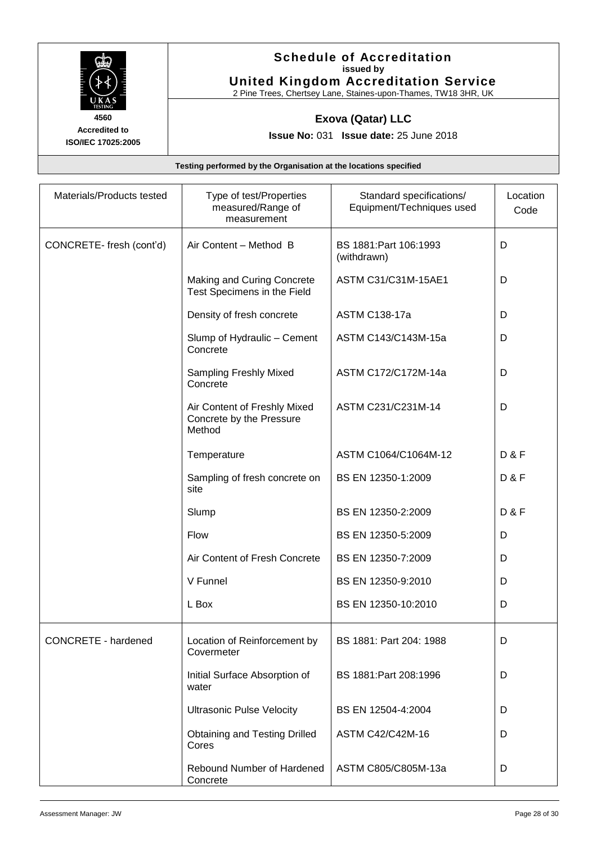

#### **Schedule of Accreditation issued by United Kingdom Accreditation Service**

2 Pine Trees, Chertsey Lane, Staines-upon-Thames, TW18 3HR, UK

### **Exova (Qatar) LLC**

**Issue No:** 031 **Issue date:** 25 June 2018

| Materials/Products tested | Type of test/Properties<br>measured/Range of<br>measurement        | Standard specifications/<br>Equipment/Techniques used | Location<br>Code |
|---------------------------|--------------------------------------------------------------------|-------------------------------------------------------|------------------|
| CONCRETE-fresh (cont'd)   | Air Content - Method B                                             | BS 1881: Part 106: 1993<br>(withdrawn)                | D                |
|                           | Making and Curing Concrete<br>Test Specimens in the Field          | ASTM C31/C31M-15AE1                                   | D                |
|                           | Density of fresh concrete                                          | <b>ASTM C138-17a</b>                                  | D                |
|                           | Slump of Hydraulic - Cement<br>Concrete                            | ASTM C143/C143M-15a                                   | D                |
|                           | Sampling Freshly Mixed<br>Concrete                                 | ASTM C172/C172M-14a                                   | D                |
|                           | Air Content of Freshly Mixed<br>Concrete by the Pressure<br>Method | ASTM C231/C231M-14                                    | D                |
|                           | Temperature                                                        | ASTM C1064/C1064M-12                                  | <b>D&amp;F</b>   |
|                           | Sampling of fresh concrete on<br>site                              | BS EN 12350-1:2009                                    | <b>D&amp;F</b>   |
|                           | Slump                                                              | BS EN 12350-2:2009                                    | <b>D&amp;F</b>   |
|                           | Flow                                                               | BS EN 12350-5:2009                                    | D                |
|                           | Air Content of Fresh Concrete                                      | BS EN 12350-7:2009                                    | D                |
|                           | V Funnel                                                           | BS EN 12350-9:2010                                    | D                |
|                           | L Box                                                              | BS EN 12350-10:2010                                   | D                |
| CONCRETE - hardened       | Location of Reinforcement by<br>Covermeter                         | BS 1881: Part 204: 1988                               | D                |
|                           | Initial Surface Absorption of<br>water                             | BS 1881: Part 208: 1996                               | D                |
|                           | <b>Ultrasonic Pulse Velocity</b>                                   | BS EN 12504-4:2004                                    | D                |
|                           | <b>Obtaining and Testing Drilled</b><br>Cores                      | ASTM C42/C42M-16                                      | D                |
|                           | Rebound Number of Hardened<br>Concrete                             | ASTM C805/C805M-13a                                   | D                |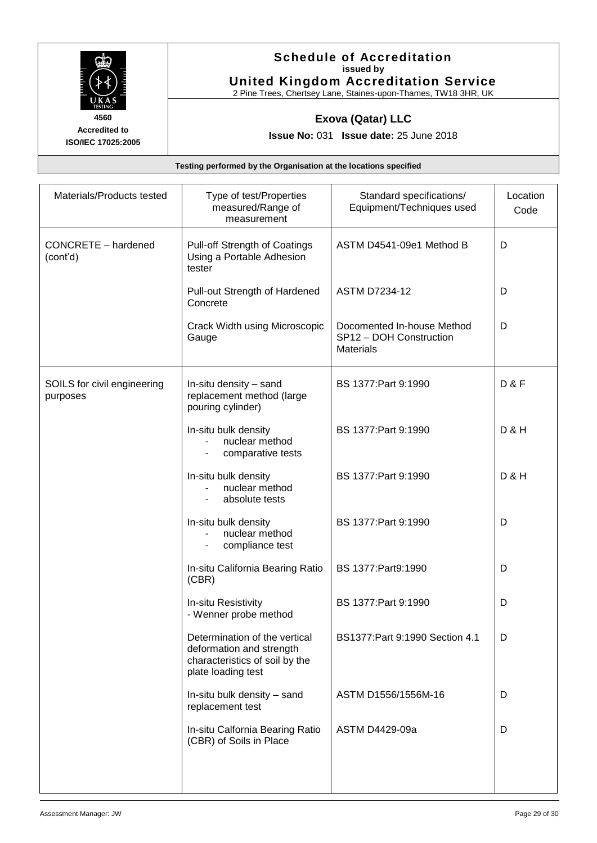

#### **Schedule of Accreditation issued by United Kingdom Accreditation Service**

2 Pine Trees, Chertsey Lane, Staines-upon-Thames, TW18 3HR, UK

### **Exova (Qatar) LLC**

**Issue No:** 031 **Issue date:** 25 June 2018

| Materials/Products tested               | Type of test/Properties<br>measured/Range of<br>measurement                                                       | Standard specifications/<br>Equipment/Techniques used                     | Location<br>Code |
|-----------------------------------------|-------------------------------------------------------------------------------------------------------------------|---------------------------------------------------------------------------|------------------|
| CONCRETE - hardened<br>(cont'd)         | Pull-off Strength of Coatings<br>Using a Portable Adhesion<br>tester                                              | ASTM D4541-09e1 Method B                                                  | D                |
|                                         | Pull-out Strength of Hardened<br>Concrete                                                                         | <b>ASTM D7234-12</b>                                                      | D                |
|                                         | Crack Width using Microscopic<br>Gauge                                                                            | Docomented In-house Method<br>SP12 - DOH Construction<br><b>Materials</b> | D                |
| SOILS for civil engineering<br>purposes | In-situ density - sand<br>replacement method (large<br>pouring cylinder)                                          | BS 1377: Part 9:1990                                                      | <b>D&amp;F</b>   |
|                                         | In-situ bulk density<br>nuclear method<br>comparative tests                                                       | BS 1377: Part 9:1990                                                      | <b>D&amp;H</b>   |
|                                         | In-situ bulk density<br>nuclear method<br>absolute tests<br>$\overline{\phantom{a}}$                              | BS 1377: Part 9:1990                                                      | <b>D &amp; H</b> |
|                                         | In-situ bulk density<br>nuclear method<br>compliance test<br>$\overline{\phantom{a}}$                             | BS 1377: Part 9:1990                                                      | D                |
|                                         | In-situ California Bearing Ratio<br>(CBR)                                                                         | BS 1377: Part9: 1990                                                      | D                |
|                                         | In-situ Resistivity<br>- Wenner probe method                                                                      | BS 1377: Part 9:1990                                                      | D                |
|                                         | Determination of the vertical<br>deformation and strength<br>characteristics of soil by the<br>plate loading test | BS1377: Part 9:1990 Section 4.1                                           | D                |
|                                         | In-situ bulk density - sand<br>replacement test                                                                   | ASTM D1556/1556M-16                                                       | D                |
|                                         | In-situ Calfornia Bearing Ratio<br>(CBR) of Soils in Place                                                        | ASTM D4429-09a                                                            | D                |
|                                         |                                                                                                                   |                                                                           |                  |